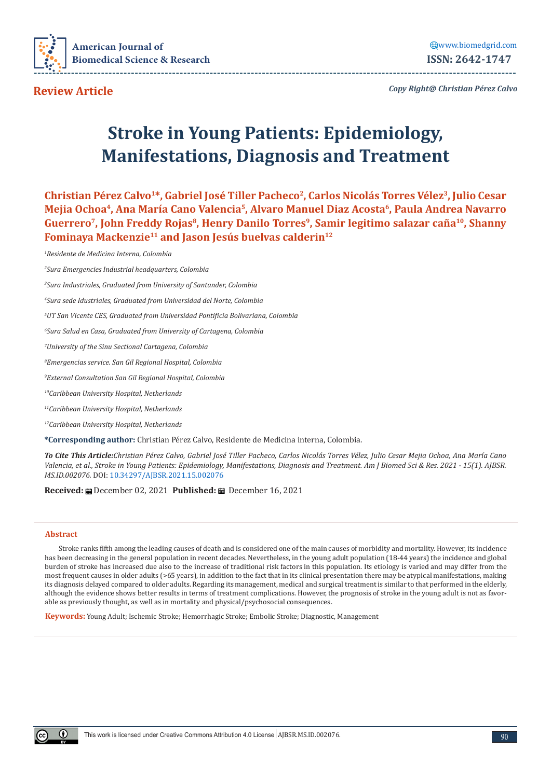

[www.biomedgrid.com](WWW.biomedgrid.com) **ISSN: 2642-1747**

**Review Article**

*Copy Right@ Christian Pérez Calvo*

# **Stroke in Young Patients: Epidemiology, Manifestations, Diagnosis and Treatment**

**Christian Pérez Calvo1\*, Gabriel José Tiller Pacheco2, Carlos Nicolás Torres Vélez3, Julio Cesar Mejia Ochoa4, Ana María Cano Valencia5, Alvaro Manuel Diaz Acosta6, Paula Andrea Navarro**  Guerrero<sup>7</sup>, John Freddy Rojas<sup>8</sup>, Henry Danilo Torres<sup>9</sup>, Samir legitimo salazar caña<sup>10</sup>, Shanny **Fominaya Mackenzie11 and Jason Jesús buelvas calderin12**

*1 Residente de Medicina Interna, Colombia*

*2 Sura Emergencies Industrial headquarters, Colombia*

*3 Sura Industriales, Graduated from University of Santander, Colombia*

*4 Sura sede Idustriales, Graduated from Universidad del Norte, Colombia*

*5 UT San Vicente CES, Graduated from Universidad Pontificia Bolivariana, Colombia*

*6 Sura Salud en Casa, Graduated from University of Cartagena, Colombia*

*7 University of the Sinu Sectional Cartagena, Colombia*

*8 Emergencias service. San Gil Regional Hospital, Colombia*

*9 External Consultation San Gil Regional Hospital, Colombia*

*10Caribbean University Hospital, Netherlands*

*11Caribbean University Hospital, Netherlands*

*12Caribbean University Hospital, Netherlands*

**\*Corresponding author:** Christian Pérez Calvo, Residente de Medicina interna, Colombia.

*To Cite This Article:Christian Pérez Calvo, Gabriel José Tiller Pacheco, Carlos Nicolás Torres Vélez, Julio Cesar Mejia Ochoa, Ana María Cano Valencia, et al., Stroke in Young Patients: Epidemiology, Manifestations, Diagnosis and Treatment. Am J Biomed Sci & Res. 2021 - 15(1). AJBSR. MS.ID.002076.* DOI: [10.34297/AJBSR.2021.15.002076](http://dx.doi.org/10.34297/AJBSR.2021.15.002076)

**Received:** December 02, 2021 **Published:** December 16, 2021

#### **Abstract**

Stroke ranks fifth among the leading causes of death and is considered one of the main causes of morbidity and mortality. However, its incidence has been decreasing in the general population in recent decades. Nevertheless, in the young adult population (18-44 years) the incidence and global burden of stroke has increased due also to the increase of traditional risk factors in this population. Its etiology is varied and may differ from the most frequent causes in older adults (>65 years), in addition to the fact that in its clinical presentation there may be atypical manifestations, making its diagnosis delayed compared to older adults. Regarding its management, medical and surgical treatment is similar to that performed in the elderly, although the evidence shows better results in terms of treatment complications. However, the prognosis of stroke in the young adult is not as favorable as previously thought, as well as in mortality and physical/psychosocial consequences.

**Keywords:** Young Adult; Ischemic Stroke; Hemorrhagic Stroke; Embolic Stroke; Diagnostic, Management

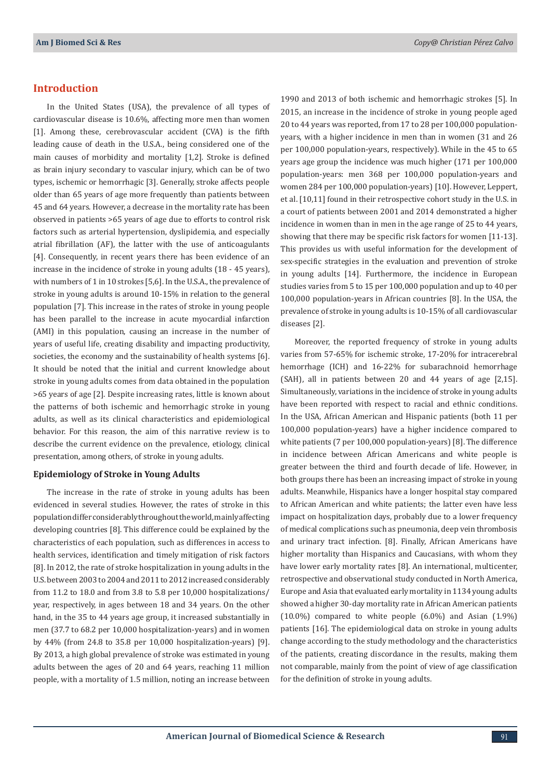## **Introduction**

In the United States (USA), the prevalence of all types of cardiovascular disease is 10.6%, affecting more men than women [1]. Among these, cerebrovascular accident (CVA) is the fifth leading cause of death in the U.S.A., being considered one of the main causes of morbidity and mortality [1,2]. Stroke is defined as brain injury secondary to vascular injury, which can be of two types, ischemic or hemorrhagic [3]. Generally, stroke affects people older than 65 years of age more frequently than patients between 45 and 64 years. However, a decrease in the mortality rate has been observed in patients >65 years of age due to efforts to control risk factors such as arterial hypertension, dyslipidemia, and especially atrial fibrillation (AF), the latter with the use of anticoagulants [4]. Consequently, in recent years there has been evidence of an increase in the incidence of stroke in young adults (18 - 45 years), with numbers of 1 in 10 strokes [5,6]. In the U.S.A., the prevalence of stroke in young adults is around 10-15% in relation to the general population [7]. This increase in the rates of stroke in young people has been parallel to the increase in acute myocardial infarction (AMI) in this population, causing an increase in the number of years of useful life, creating disability and impacting productivity, societies, the economy and the sustainability of health systems [6]. It should be noted that the initial and current knowledge about stroke in young adults comes from data obtained in the population >65 years of age [2]. Despite increasing rates, little is known about the patterns of both ischemic and hemorrhagic stroke in young adults, as well as its clinical characteristics and epidemiological behavior. For this reason, the aim of this narrative review is to describe the current evidence on the prevalence, etiology, clinical presentation, among others, of stroke in young adults.

#### **Epidemiology of Stroke in Young Adults**

The increase in the rate of stroke in young adults has been evidenced in several studies. However, the rates of stroke in this population differ considerably throughout the world, mainly affecting developing countries [8]. This difference could be explained by the characteristics of each population, such as differences in access to health services, identification and timely mitigation of risk factors [8]. In 2012, the rate of stroke hospitalization in young adults in the U.S. between 2003 to 2004 and 2011 to 2012 increased considerably from 11.2 to 18.0 and from 3.8 to 5.8 per 10,000 hospitalizations/ year, respectively, in ages between 18 and 34 years. On the other hand, in the 35 to 44 years age group, it increased substantially in men (37.7 to 68.2 per 10,000 hospitalization-years) and in women by 44% (from 24.8 to 35.8 per 10,000 hospitalization-years) [9]. By 2013, a high global prevalence of stroke was estimated in young adults between the ages of 20 and 64 years, reaching 11 million people, with a mortality of 1.5 million, noting an increase between

1990 and 2013 of both ischemic and hemorrhagic strokes [5]. In 2015, an increase in the incidence of stroke in young people aged 20 to 44 years was reported, from 17 to 28 per 100,000 populationyears, with a higher incidence in men than in women (31 and 26 per 100,000 population-years, respectively). While in the 45 to 65 years age group the incidence was much higher (171 per 100,000 population-years: men 368 per 100,000 population-years and women 284 per 100,000 population-years) [10]. However, Leppert, et al. [10,11] found in their retrospective cohort study in the U.S. in a court of patients between 2001 and 2014 demonstrated a higher incidence in women than in men in the age range of 25 to 44 years, showing that there may be specific risk factors for women [11-13]. This provides us with useful information for the development of sex-specific strategies in the evaluation and prevention of stroke in young adults [14]. Furthermore, the incidence in European studies varies from 5 to 15 per 100,000 population and up to 40 per 100,000 population-years in African countries [8]. In the USA, the prevalence of stroke in young adults is 10-15% of all cardiovascular diseases [2].

Moreover, the reported frequency of stroke in young adults varies from 57-65% for ischemic stroke, 17-20% for intracerebral hemorrhage (ICH) and 16-22% for subarachnoid hemorrhage (SAH), all in patients between 20 and 44 years of age [2,15]. Simultaneously, variations in the incidence of stroke in young adults have been reported with respect to racial and ethnic conditions. In the USA, African American and Hispanic patients (both 11 per 100,000 population-years) have a higher incidence compared to white patients (7 per 100,000 population-years) [8]. The difference in incidence between African Americans and white people is greater between the third and fourth decade of life. However, in both groups there has been an increasing impact of stroke in young adults. Meanwhile, Hispanics have a longer hospital stay compared to African American and white patients; the latter even have less impact on hospitalization days, probably due to a lower frequency of medical complications such as pneumonia, deep vein thrombosis and urinary tract infection. [8]. Finally, African Americans have higher mortality than Hispanics and Caucasians, with whom they have lower early mortality rates [8]. An international, multicenter, retrospective and observational study conducted in North America, Europe and Asia that evaluated early mortality in 1134 young adults showed a higher 30-day mortality rate in African American patients  $(10.0\%)$  compared to white people  $(6.0\%)$  and Asian  $(1.9\%)$ patients [16]. The epidemiological data on stroke in young adults change according to the study methodology and the characteristics of the patients, creating discordance in the results, making them not comparable, mainly from the point of view of age classification for the definition of stroke in young adults.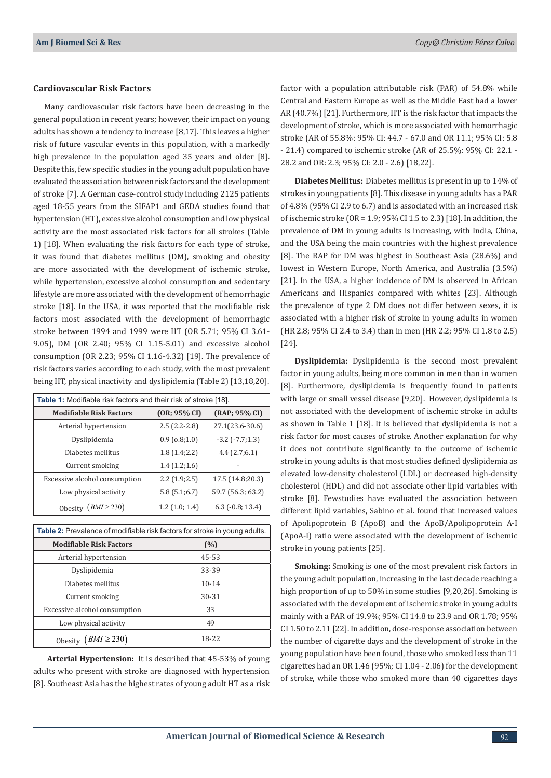#### **Cardiovascular Risk Factors**

Many cardiovascular risk factors have been decreasing in the general population in recent years; however, their impact on young adults has shown a tendency to increase [8,17]. This leaves a higher risk of future vascular events in this population, with a markedly high prevalence in the population aged 35 years and older [8]. Despite this, few specific studies in the young adult population have evaluated the association between risk factors and the development of stroke [7]. A German case-control study including 2125 patients aged 18-55 years from the SIFAP1 and GEDA studies found that hypertension (HT), excessive alcohol consumption and low physical activity are the most associated risk factors for all strokes (Table 1) [18]. When evaluating the risk factors for each type of stroke, it was found that diabetes mellitus (DM), smoking and obesity are more associated with the development of ischemic stroke, while hypertension, excessive alcohol consumption and sedentary lifestyle are more associated with the development of hemorrhagic stroke [18]. In the USA, it was reported that the modifiable risk factors most associated with the development of hemorrhagic stroke between 1994 and 1999 were HT (OR 5.71; 95% CI 3.61- 9.05), DM (OR 2.40; 95% CI 1.15-5.01) and excessive alcohol consumption (OR 2.23; 95% CI 1.16-4.32) [19]. The prevalence of risk factors varies according to each study, with the most prevalent being HT, physical inactivity and dyslipidemia (Table 2) [13,18,20].

| Table 1: Modifiable risk factors and their risk of stroke [18]. |                  |                        |  |  |
|-----------------------------------------------------------------|------------------|------------------------|--|--|
| <b>Modifiable Risk Factors</b>                                  | (OR; 95% CI)     | (RAP; 95% CI)          |  |  |
| Arterial hypertension                                           | $2.5(2.2-2.8)$   | 27.1(23.6-30.6)        |  |  |
| Dyslipidemia                                                    | 0.9(0.8;1.0)     | $-3.2$ ( $-7.7;1.3$ )  |  |  |
| Diabetes mellitus                                               | 1.8(1.4;2.2)     | 4.4(2.7;6.1)           |  |  |
| Current smoking                                                 | 1.4(1.2;1.6)     |                        |  |  |
| Excessive alcohol consumption                                   | 2.2(1.9;2.5)     | 17.5 (14.8;20.3)       |  |  |
| Low physical activity                                           | 5.8(5.1;6.7)     | 59.7 (56.3; 63.2)      |  |  |
| Obesity $(BMI \ge 230)$                                         | $1.2$ (1.0; 1.4) | $6.3$ ( $-0.8$ ; 13.4) |  |  |

| <b>Table 2:</b> Prevalence of modifiable risk factors for stroke in young adults. |           |  |  |
|-----------------------------------------------------------------------------------|-----------|--|--|
| <b>Modifiable Risk Factors</b>                                                    | (%)       |  |  |
| Arterial hypertension                                                             | 45-53     |  |  |
| Dyslipidemia                                                                      | 33-39     |  |  |
| Diabetes mellitus                                                                 | $10 - 14$ |  |  |
| Current smoking                                                                   | 30-31     |  |  |
| Excessive alcohol consumption                                                     | 33        |  |  |
| Low physical activity                                                             | 49        |  |  |
| $(BMI \geq 230)$<br>Obesity                                                       | 18-22     |  |  |

**Arterial Hypertension:** It is described that 45-53% of young adults who present with stroke are diagnosed with hypertension [8]. Southeast Asia has the highest rates of young adult HT as a risk factor with a population attributable risk (PAR) of 54.8% while Central and Eastern Europe as well as the Middle East had a lower AR (40.7%) [21]. Furthermore, HT is the risk factor that impacts the development of stroke, which is more associated with hemorrhagic stroke (AR of 55.8%: 95% CI: 44.7 - 67.0 and OR 11.1; 95% CI: 5.8 - 21.4) compared to ischemic stroke (AR of 25.5%: 95% CI: 22.1 - 28.2 and OR: 2.3; 95% CI: 2.0 - 2.6) [18,22].

**Diabetes Mellitus:** Diabetes mellitus is present in up to 14% of strokes in young patients [8]. This disease in young adults has a PAR of 4.8% (95% CI 2.9 to 6.7) and is associated with an increased risk of ischemic stroke (OR = 1.9; 95% CI 1.5 to 2.3) [18]. In addition, the prevalence of DM in young adults is increasing, with India, China, and the USA being the main countries with the highest prevalence [8]. The RAP for DM was highest in Southeast Asia (28.6%) and lowest in Western Europe, North America, and Australia (3.5%) [21]. In the USA, a higher incidence of DM is observed in African Americans and Hispanics compared with whites [23]. Although the prevalence of type 2 DM does not differ between sexes, it is associated with a higher risk of stroke in young adults in women (HR 2.8; 95% CI 2.4 to 3.4) than in men (HR 2.2; 95% CI 1.8 to 2.5) [24].

**Dyslipidemia:** Dyslipidemia is the second most prevalent factor in young adults, being more common in men than in women [8]. Furthermore, dyslipidemia is frequently found in patients with large or small vessel disease [9,20]. However, dyslipidemia is not associated with the development of ischemic stroke in adults as shown in Table 1 [18]. It is believed that dyslipidemia is not a risk factor for most causes of stroke. Another explanation for why it does not contribute significantly to the outcome of ischemic stroke in young adults is that most studies defined dyslipidemia as elevated low-density cholesterol (LDL) or decreased high-density cholesterol (HDL) and did not associate other lipid variables with stroke [8]. Fewstudies have evaluated the association between different lipid variables, Sabino et al. found that increased values of Apolipoprotein B (ApoB) and the ApoB/Apolipoprotein A-I (ApoA-I) ratio were associated with the development of ischemic stroke in young patients [25].

**Smoking:** Smoking is one of the most prevalent risk factors in the young adult population, increasing in the last decade reaching a high proportion of up to 50% in some studies [9,20,26]. Smoking is associated with the development of ischemic stroke in young adults mainly with a PAR of 19.9%; 95% CI 14.8 to 23.9 and OR 1.78; 95% CI 1.50 to 2.11 [22]. In addition, dose-response association between the number of cigarette days and the development of stroke in the young population have been found, those who smoked less than 11 cigarettes had an OR 1.46 (95%; CI 1.04 - 2.06) for the development of stroke, while those who smoked more than 40 cigarettes days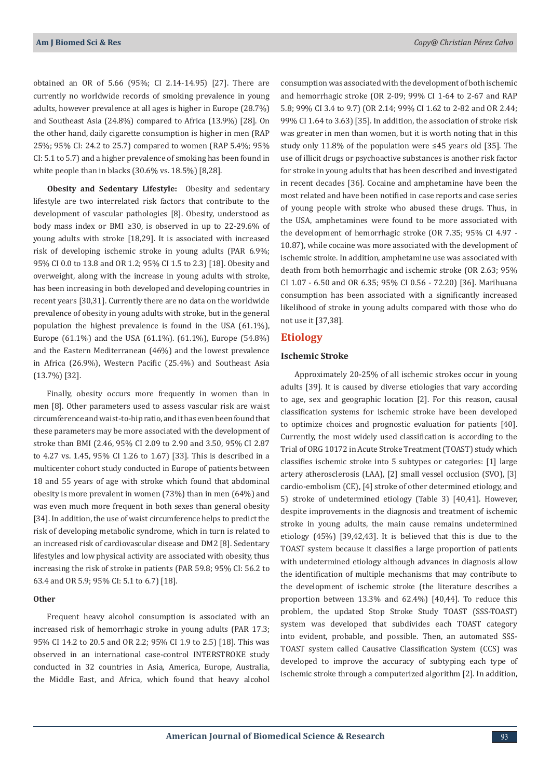obtained an OR of 5.66 (95%; CI 2.14-14.95) [27]. There are currently no worldwide records of smoking prevalence in young adults, however prevalence at all ages is higher in Europe (28.7%) and Southeast Asia (24.8%) compared to Africa (13.9%) [28]. On the other hand, daily cigarette consumption is higher in men (RAP 25%; 95% CI: 24.2 to 25.7) compared to women (RAP 5.4%; 95% CI: 5.1 to 5.7) and a higher prevalence of smoking has been found in white people than in blacks (30.6% vs. 18.5%) [8,28].

**Obesity and Sedentary Lifestyle:** Obesity and sedentary lifestyle are two interrelated risk factors that contribute to the development of vascular pathologies [8]. Obesity, understood as body mass index or BMI ≥30, is observed in up to 22-29.6% of young adults with stroke [18,29]. It is associated with increased risk of developing ischemic stroke in young adults (PAR 6.9%; 95% CI 0.0 to 13.8 and OR 1.2; 95% CI 1.5 to 2.3) [18]. Obesity and overweight, along with the increase in young adults with stroke, has been increasing in both developed and developing countries in recent years [30,31]. Currently there are no data on the worldwide prevalence of obesity in young adults with stroke, but in the general population the highest prevalence is found in the USA (61.1%), Europe (61.1%) and the USA (61.1%). (61.1%), Europe (54.8%) and the Eastern Mediterranean (46%) and the lowest prevalence in Africa (26.9%), Western Pacific (25.4%) and Southeast Asia (13.7%) [32].

Finally, obesity occurs more frequently in women than in men [8]. Other parameters used to assess vascular risk are waist circumference and waist-to-hip ratio, and it has even been found that these parameters may be more associated with the development of stroke than BMI (2.46, 95% CI 2.09 to 2.90 and 3.50, 95% CI 2.87 to 4.27 vs. 1.45, 95% CI 1.26 to 1.67) [33]. This is described in a multicenter cohort study conducted in Europe of patients between 18 and 55 years of age with stroke which found that abdominal obesity is more prevalent in women (73%) than in men (64%) and was even much more frequent in both sexes than general obesity [34]. In addition, the use of waist circumference helps to predict the risk of developing metabolic syndrome, which in turn is related to an increased risk of cardiovascular disease and DM2 [8]. Sedentary lifestyles and low physical activity are associated with obesity, thus increasing the risk of stroke in patients (PAR 59.8; 95% CI: 56.2 to 63.4 and OR 5.9; 95% CI: 5.1 to 6.7) [18].

#### **Other**

Frequent heavy alcohol consumption is associated with an increased risk of hemorrhagic stroke in young adults (PAR 17.3; 95% CI 14.2 to 20.5 and OR 2.2; 95% CI 1.9 to 2.5) [18]. This was observed in an international case-control INTERSTROKE study conducted in 32 countries in Asia, America, Europe, Australia, the Middle East, and Africa, which found that heavy alcohol

consumption was associated with the development of both ischemic and hemorrhagic stroke (OR 2-09; 99% CI 1-64 to 2-67 and RAP 5.8; 99% CI 3.4 to 9.7) (OR 2.14; 99% CI 1.62 to 2-82 and OR 2.44; 99% CI 1.64 to 3.63) [35]. In addition, the association of stroke risk was greater in men than women, but it is worth noting that in this study only 11.8% of the population were ≤45 years old [35]. The use of illicit drugs or psychoactive substances is another risk factor for stroke in young adults that has been described and investigated in recent decades [36]. Cocaine and amphetamine have been the most related and have been notified in case reports and case series of young people with stroke who abused these drugs. Thus, in the USA, amphetamines were found to be more associated with the development of hemorrhagic stroke (OR 7.35; 95% CI 4.97 - 10.87), while cocaine was more associated with the development of ischemic stroke. In addition, amphetamine use was associated with death from both hemorrhagic and ischemic stroke (OR 2.63; 95% CI 1.07 - 6.50 and OR 6.35; 95% CI 0.56 - 72.20) [36]. Marihuana consumption has been associated with a significantly increased likelihood of stroke in young adults compared with those who do not use it [37,38].

## **Etiology**

#### **Ischemic Stroke**

Approximately 20-25% of all ischemic strokes occur in young adults [39]. It is caused by diverse etiologies that vary according to age, sex and geographic location [2]. For this reason, causal classification systems for ischemic stroke have been developed to optimize choices and prognostic evaluation for patients [40]. Currently, the most widely used classification is according to the Trial of ORG 10172 in Acute Stroke Treatment (TOAST) study which classifies ischemic stroke into 5 subtypes or categories: [1] large artery atherosclerosis (LAA), [2] small vessel occlusion (SVO), [3] cardio-embolism (CE), [4] stroke of other determined etiology, and 5) stroke of undetermined etiology (Table 3) [40,41]. However, despite improvements in the diagnosis and treatment of ischemic stroke in young adults, the main cause remains undetermined etiology (45%) [39,42,43]. It is believed that this is due to the TOAST system because it classifies a large proportion of patients with undetermined etiology although advances in diagnosis allow the identification of multiple mechanisms that may contribute to the development of ischemic stroke (the literature describes a proportion between 13.3% and 62.4%) [40,44]. To reduce this problem, the updated Stop Stroke Study TOAST (SSS-TOAST) system was developed that subdivides each TOAST category into evident, probable, and possible. Then, an automated SSS-TOAST system called Causative Classification System (CCS) was developed to improve the accuracy of subtyping each type of ischemic stroke through a computerized algorithm [2]. In addition,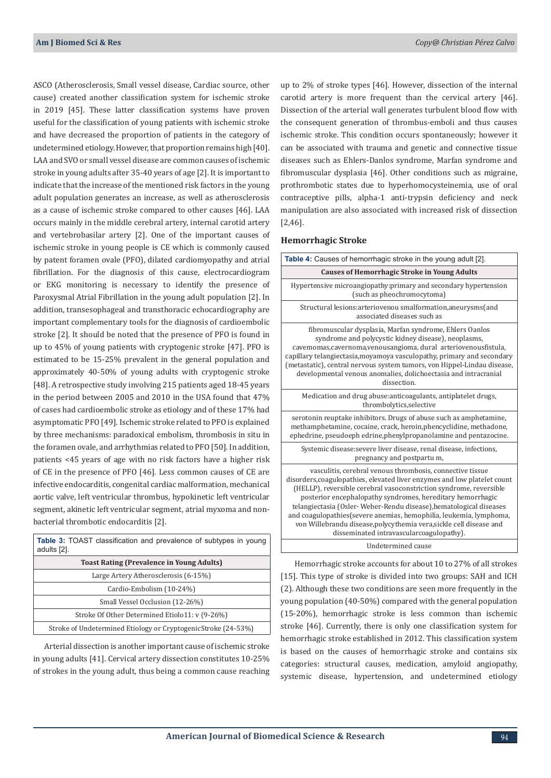ASCO (Atherosclerosis, Small vessel disease, Cardiac source, other cause) created another classification system for ischemic stroke in 2019 [45]. These latter classification systems have proven useful for the classification of young patients with ischemic stroke and have decreased the proportion of patients in the category of undetermined etiology. However, that proportion remains high [40]. LAA and SVO or small vessel disease are common causes of ischemic stroke in young adults after 35-40 years of age [2]. It is important to indicate that the increase of the mentioned risk factors in the young adult population generates an increase, as well as atherosclerosis as a cause of ischemic stroke compared to other causes [46]. LAA occurs mainly in the middle cerebral artery, internal carotid artery and vertebrobasilar artery [2]. One of the important causes of ischemic stroke in young people is CE which is commonly caused by patent foramen ovale (PFO), dilated cardiomyopathy and atrial fibrillation. For the diagnosis of this cause, electrocardiogram or EKG monitoring is necessary to identify the presence of Paroxysmal Atrial Fibrillation in the young adult population [2]. In addition, transesophageal and transthoracic echocardiography are important complementary tools for the diagnosis of cardioembolic stroke [2]. It should be noted that the presence of PFO is found in up to 45% of young patients with cryptogenic stroke [47]. PFO is estimated to be 15-25% prevalent in the general population and approximately 40-50% of young adults with cryptogenic stroke [48]. A retrospective study involving 215 patients aged 18-45 years in the period between 2005 and 2010 in the USA found that 47% of cases had cardioembolic stroke as etiology and of these 17% had asymptomatic PFO [49]. Ischemic stroke related to PFO is explained by three mechanisms: paradoxical embolism, thrombosis in situ in the foramen ovale, and arrhythmias related to PFO [50]. In addition, patients <45 years of age with no risk factors have a higher risk of CE in the presence of PFO [46]. Less common causes of CE are infective endocarditis, congenital cardiac malformation, mechanical aortic valve, left ventricular thrombus, hypokinetic left ventricular segment, akinetic left ventricular segment, atrial myxoma and nonbacterial thrombotic endocarditis [2].

| <b>Table 3: TOAST</b> classification and prevalence of subtypes in young<br>adults [2]. |  |  |
|-----------------------------------------------------------------------------------------|--|--|
| <b>Toast Rating (Prevalence in Young Adults)</b>                                        |  |  |
| Large Artery Atherosclerosis (6-15%)                                                    |  |  |
| Cardio-Embolism (10-24%)                                                                |  |  |
| Small Vessel Occlusion (12-26%)                                                         |  |  |
| Stroke Of Other Determined Etiolo11: v (9-26%)                                          |  |  |
| Stroke of Undetermined Etiology or CryptogenicStroke (24-53%)                           |  |  |

Arterial dissection is another important cause of ischemic stroke in young adults [41]. Cervical artery dissection constitutes 10-25% of strokes in the young adult, thus being a common cause reaching up to 2% of stroke types [46]. However, dissection of the internal carotid artery is more frequent than the cervical artery [46]. Dissection of the arterial wall generates turbulent blood flow with the consequent generation of thrombus-emboli and thus causes ischemic stroke. This condition occurs spontaneously; however it can be associated with trauma and genetic and connective tissue diseases such as Ehlers-Danlos syndrome, Marfan syndrome and fibromuscular dysplasia [46]. Other conditions such as migraine, prothrombotic states due to hyperhomocysteinemia, use of oral contraceptive pills, alpha-1 anti-trypsin deficiency and neck manipulation are also associated with increased risk of dissection [2,46].

#### **Hemorrhagic Stroke**

| Table 4: Causes of hemorrhagic stroke in the young adult [2].                                                                                                                                                                                                                                                                                                                                                                                                                                                                              |  |  |
|--------------------------------------------------------------------------------------------------------------------------------------------------------------------------------------------------------------------------------------------------------------------------------------------------------------------------------------------------------------------------------------------------------------------------------------------------------------------------------------------------------------------------------------------|--|--|
| <b>Causes of Hemorrhagic Stroke in Young Adults</b>                                                                                                                                                                                                                                                                                                                                                                                                                                                                                        |  |  |
| Hypertensive microangiopathy:primary and secondary hypertension<br>(such as pheochromocytoma)                                                                                                                                                                                                                                                                                                                                                                                                                                              |  |  |
| Structural lesions: arteriovenou smalformation, aneurysms (and<br>associated diseases such as                                                                                                                                                                                                                                                                                                                                                                                                                                              |  |  |
| fibromuscular dysplasia, Marfan syndrome, Ehlers Oanlos<br>syndrome and polycystic kidney disease), neoplasms,<br>cavemomas, cavernoma, venousangioma, dural arteriovenousfistula,<br>capillary telangiectasia, moyamoya vasculopathy, primary and secondary<br>(metastatic), central nervous system tumors, von Hippel-Lindau disease,<br>developmental venous anomalies, dolichoectasia and intracranial<br>dissection.                                                                                                                  |  |  |
| Medication and drug abuse: anticoagulants, antiplatelet drugs,<br>thrombolytics, selective                                                                                                                                                                                                                                                                                                                                                                                                                                                 |  |  |
| serotonin reuptake inhibitors. Drugs of abuse such as amphetamine,<br>methamphetamine, cocaine, crack, heroin, phencyclidine, methadone,<br>ephedrine, pseudoeph edrine, phenylpropanolamine and pentazocine.                                                                                                                                                                                                                                                                                                                              |  |  |
| Systemic disease: severe liver disease, renal disease, infections,<br>pregnancy and postpartu m.                                                                                                                                                                                                                                                                                                                                                                                                                                           |  |  |
| vasculitis, cerebral venous thrombosis, connective tissue<br>disorders, coagulopathies, elevated liver enzymes and low platelet count<br>(HELLP), reversible cerebral vasoconstriction syndrome, reversible<br>posterior encephalopathy syndromes, hereditary hemorrhagic<br>telangiectasia (Osler· Weber-Rendu disease), hematological diseases<br>and coagulopathies (severe anemias, hemophilia, leukemia, lymphoma,<br>von Willebrandu disease, polycythemia vera, sickle cell disease and<br>disseminated intravascularcoagulopathy). |  |  |
| Undetermined cause                                                                                                                                                                                                                                                                                                                                                                                                                                                                                                                         |  |  |

Hemorrhagic stroke accounts for about 10 to 27% of all strokes [15]. This type of stroke is divided into two groups: SAH and ICH (2). Although these two conditions are seen more frequently in the young population (40-50%) compared with the general population (15-20%), hemorrhagic stroke is less common than ischemic stroke [46]. Currently, there is only one classification system for hemorrhagic stroke established in 2012. This classification system is based on the causes of hemorrhagic stroke and contains six categories: structural causes, medication, amyloid angiopathy, systemic disease, hypertension, and undetermined etiology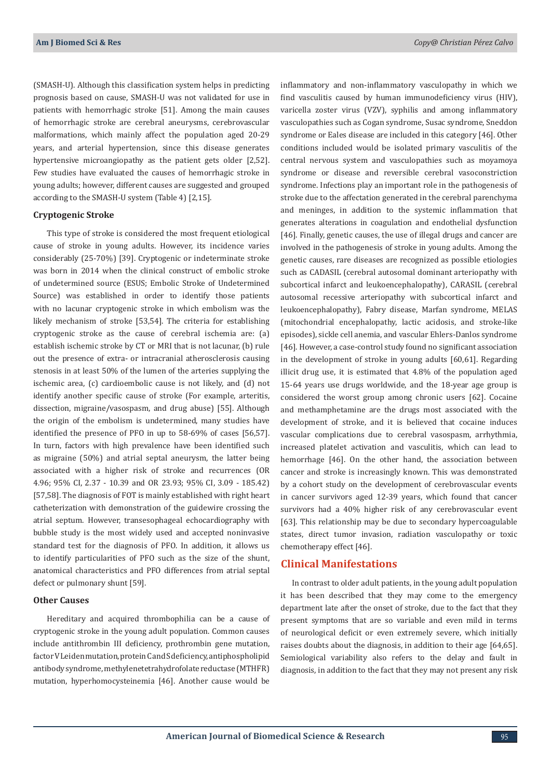(SMASH-U). Although this classification system helps in predicting prognosis based on cause, SMASH-U was not validated for use in patients with hemorrhagic stroke [51]. Among the main causes of hemorrhagic stroke are cerebral aneurysms, cerebrovascular malformations, which mainly affect the population aged 20-29 years, and arterial hypertension, since this disease generates hypertensive microangiopathy as the patient gets older [2,52]. Few studies have evaluated the causes of hemorrhagic stroke in young adults; however, different causes are suggested and grouped according to the SMASH-U system (Table 4) [2,15].

#### **Cryptogenic Stroke**

This type of stroke is considered the most frequent etiological cause of stroke in young adults. However, its incidence varies considerably (25-70%) [39]. Cryptogenic or indeterminate stroke was born in 2014 when the clinical construct of embolic stroke of undetermined source (ESUS; Embolic Stroke of Undetermined Source) was established in order to identify those patients with no lacunar cryptogenic stroke in which embolism was the likely mechanism of stroke [53,54]. The criteria for establishing cryptogenic stroke as the cause of cerebral ischemia are: (a) establish ischemic stroke by CT or MRI that is not lacunar, (b) rule out the presence of extra- or intracranial atherosclerosis causing stenosis in at least 50% of the lumen of the arteries supplying the ischemic area, (c) cardioembolic cause is not likely, and (d) not identify another specific cause of stroke (For example, arteritis, dissection, migraine/vasospasm, and drug abuse) [55]. Although the origin of the embolism is undetermined, many studies have identified the presence of PFO in up to 58-69% of cases [56,57]. In turn, factors with high prevalence have been identified such as migraine (50%) and atrial septal aneurysm, the latter being associated with a higher risk of stroke and recurrences (OR 4.96; 95% CI, 2.37 - 10.39 and OR 23.93; 95% CI, 3.09 - 185.42) [57,58]. The diagnosis of FOT is mainly established with right heart catheterization with demonstration of the guidewire crossing the atrial septum. However, transesophageal echocardiography with bubble study is the most widely used and accepted noninvasive standard test for the diagnosis of PFO. In addition, it allows us to identify particularities of PFO such as the size of the shunt, anatomical characteristics and PFO differences from atrial septal defect or pulmonary shunt [59].

## **Other Causes**

Hereditary and acquired thrombophilia can be a cause of cryptogenic stroke in the young adult population. Common causes include antithrombin III deficiency, prothrombin gene mutation, factor V Leiden mutation, protein C and S deficiency, antiphospholipid antibody syndrome, methylenetetrahydrofolate reductase (MTHFR) mutation, hyperhomocysteinemia [46]. Another cause would be

inflammatory and non-inflammatory vasculopathy in which we find vasculitis caused by human immunodeficiency virus (HIV), varicella zoster virus (VZV), syphilis and among inflammatory vasculopathies such as Cogan syndrome, Susac syndrome, Sneddon syndrome or Eales disease are included in this category [46]. Other conditions included would be isolated primary vasculitis of the central nervous system and vasculopathies such as moyamoya syndrome or disease and reversible cerebral vasoconstriction syndrome. Infections play an important role in the pathogenesis of stroke due to the affectation generated in the cerebral parenchyma and meninges, in addition to the systemic inflammation that generates alterations in coagulation and endothelial dysfunction [46]. Finally, genetic causes, the use of illegal drugs and cancer are involved in the pathogenesis of stroke in young adults. Among the genetic causes, rare diseases are recognized as possible etiologies such as CADASIL (cerebral autosomal dominant arteriopathy with subcortical infarct and leukoencephalopathy), CARASIL (cerebral autosomal recessive arteriopathy with subcortical infarct and leukoencephalopathy), Fabry disease, Marfan syndrome, MELAS (mitochondrial encephalopathy, lactic acidosis, and stroke-like episodes), sickle cell anemia, and vascular Ehlers-Danlos syndrome [46]. However, a case-control study found no significant association in the development of stroke in young adults [60,61]. Regarding illicit drug use, it is estimated that 4.8% of the population aged 15-64 years use drugs worldwide, and the 18-year age group is considered the worst group among chronic users [62]. Cocaine and methamphetamine are the drugs most associated with the development of stroke, and it is believed that cocaine induces vascular complications due to cerebral vasospasm, arrhythmia, increased platelet activation and vasculitis, which can lead to hemorrhage [46]. On the other hand, the association between cancer and stroke is increasingly known. This was demonstrated by a cohort study on the development of cerebrovascular events in cancer survivors aged 12-39 years, which found that cancer survivors had a 40% higher risk of any cerebrovascular event [63]. This relationship may be due to secondary hypercoagulable states, direct tumor invasion, radiation vasculopathy or toxic chemotherapy effect [46].

## **Clinical Manifestations**

In contrast to older adult patients, in the young adult population it has been described that they may come to the emergency department late after the onset of stroke, due to the fact that they present symptoms that are so variable and even mild in terms of neurological deficit or even extremely severe, which initially raises doubts about the diagnosis, in addition to their age [64,65]. Semiological variability also refers to the delay and fault in diagnosis, in addition to the fact that they may not present any risk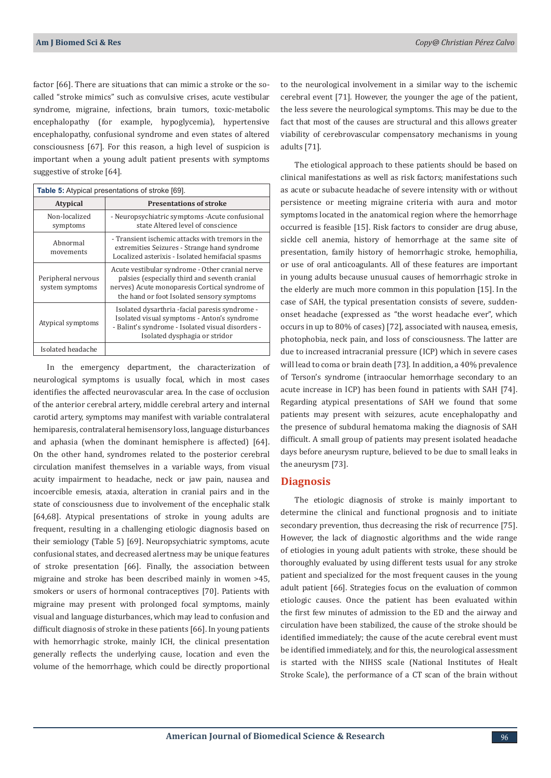factor [66]. There are situations that can mimic a stroke or the socalled "stroke mimics" such as convulsive crises, acute vestibular syndrome, migraine, infections, brain tumors, toxic-metabolic encephalopathy (for example, hypoglycemia), hypertensive encephalopathy, confusional syndrome and even states of altered consciousness [67]. For this reason, a high level of suspicion is important when a young adult patient presents with symptoms suggestive of stroke [64].

| <b>Table 5:</b> Atypical presentations of stroke [69]. |                                                                                                                                                                                                  |  |  |
|--------------------------------------------------------|--------------------------------------------------------------------------------------------------------------------------------------------------------------------------------------------------|--|--|
| <b>Atypical</b>                                        | <b>Presentations of stroke</b>                                                                                                                                                                   |  |  |
| Non-localized<br>symptoms                              | - Neuropsychiatric symptoms - Acute confusional<br>state Altered level of conscience                                                                                                             |  |  |
| Abnormal<br>movements                                  | - Transient ischemic attacks with tremors in the<br>extremities Seizures - Strange hand syndrome<br>Localized asterixis - Isolated hemifacial spasms                                             |  |  |
| Peripheral nervous<br>system symptoms                  | Acute vestibular syndrome - Other cranial nerve<br>palsies (especially third and seventh cranial<br>nerves) Acute monoparesis Cortical syndrome of<br>the hand or foot Isolated sensory symptoms |  |  |
| Atypical symptoms                                      | Isolated dysarthria -facial paresis syndrome -<br>Isolated visual symptoms - Anton's syndrome<br>- Balint's syndrome - Isolated visual disorders -<br>Isolated dysphagia or stridor              |  |  |
| Isolated headache                                      |                                                                                                                                                                                                  |  |  |

In the emergency department, the characterization of neurological symptoms is usually focal, which in most cases identifies the affected neurovascular area. In the case of occlusion of the anterior cerebral artery, middle cerebral artery and internal carotid artery, symptoms may manifest with variable contralateral hemiparesis, contralateral hemisensory loss, language disturbances and aphasia (when the dominant hemisphere is affected) [64]. On the other hand, syndromes related to the posterior cerebral circulation manifest themselves in a variable ways, from visual acuity impairment to headache, neck or jaw pain, nausea and incoercible emesis, ataxia, alteration in cranial pairs and in the state of consciousness due to involvement of the encephalic stalk [64,68]. Atypical presentations of stroke in young adults are frequent, resulting in a challenging etiologic diagnosis based on their semiology (Table 5) [69]. Neuropsychiatric symptoms, acute confusional states, and decreased alertness may be unique features of stroke presentation [66]. Finally, the association between migraine and stroke has been described mainly in women >45, smokers or users of hormonal contraceptives [70]. Patients with migraine may present with prolonged focal symptoms, mainly visual and language disturbances, which may lead to confusion and difficult diagnosis of stroke in these patients [66]. In young patients with hemorrhagic stroke, mainly ICH, the clinical presentation generally reflects the underlying cause, location and even the volume of the hemorrhage, which could be directly proportional

to the neurological involvement in a similar way to the ischemic cerebral event [71]. However, the younger the age of the patient, the less severe the neurological symptoms. This may be due to the fact that most of the causes are structural and this allows greater viability of cerebrovascular compensatory mechanisms in young adults [71].

The etiological approach to these patients should be based on clinical manifestations as well as risk factors; manifestations such as acute or subacute headache of severe intensity with or without persistence or meeting migraine criteria with aura and motor symptoms located in the anatomical region where the hemorrhage occurred is feasible [15]. Risk factors to consider are drug abuse, sickle cell anemia, history of hemorrhage at the same site of presentation, family history of hemorrhagic stroke, hemophilia, or use of oral anticoagulants. All of these features are important in young adults because unusual causes of hemorrhagic stroke in the elderly are much more common in this population [15]. In the case of SAH, the typical presentation consists of severe, suddenonset headache (expressed as "the worst headache ever", which occurs in up to 80% of cases) [72], associated with nausea, emesis, photophobia, neck pain, and loss of consciousness. The latter are due to increased intracranial pressure (ICP) which in severe cases will lead to coma or brain death [73]. In addition, a 40% prevalence of Terson's syndrome (intraocular hemorrhage secondary to an acute increase in ICP) has been found in patients with SAH [74]. Regarding atypical presentations of SAH we found that some patients may present with seizures, acute encephalopathy and the presence of subdural hematoma making the diagnosis of SAH difficult. A small group of patients may present isolated headache days before aneurysm rupture, believed to be due to small leaks in the aneurysm [73].

## **Diagnosis**

The etiologic diagnosis of stroke is mainly important to determine the clinical and functional prognosis and to initiate secondary prevention, thus decreasing the risk of recurrence [75]. However, the lack of diagnostic algorithms and the wide range of etiologies in young adult patients with stroke, these should be thoroughly evaluated by using different tests usual for any stroke patient and specialized for the most frequent causes in the young adult patient [66]. Strategies focus on the evaluation of common etiologic causes. Once the patient has been evaluated within the first few minutes of admission to the ED and the airway and circulation have been stabilized, the cause of the stroke should be identified immediately; the cause of the acute cerebral event must be identified immediately, and for this, the neurological assessment is started with the NIHSS scale (National Institutes of Healt Stroke Scale), the performance of a CT scan of the brain without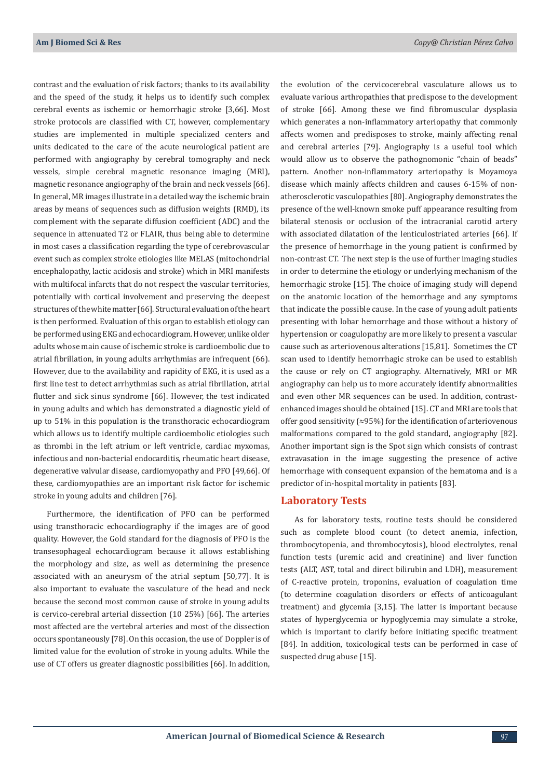contrast and the evaluation of risk factors; thanks to its availability and the speed of the study, it helps us to identify such complex cerebral events as ischemic or hemorrhagic stroke [3,66]. Most stroke protocols are classified with CT, however, complementary studies are implemented in multiple specialized centers and units dedicated to the care of the acute neurological patient are performed with angiography by cerebral tomography and neck vessels, simple cerebral magnetic resonance imaging (MRI), magnetic resonance angiography of the brain and neck vessels [66]. In general, MR images illustrate in a detailed way the ischemic brain areas by means of sequences such as diffusion weights (RMD), its complement with the separate diffusion coefficient (ADC) and the sequence in attenuated T2 or FLAIR, thus being able to determine in most cases a classification regarding the type of cerebrovascular event such as complex stroke etiologies like MELAS (mitochondrial encephalopathy, lactic acidosis and stroke) which in MRI manifests with multifocal infarcts that do not respect the vascular territories, potentially with cortical involvement and preserving the deepest structures of the white matter [66]. Structural evaluation of the heart is then performed. Evaluation of this organ to establish etiology can be performed using EKG and echocardiogram. However, unlike older adults whose main cause of ischemic stroke is cardioembolic due to atrial fibrillation, in young adults arrhythmias are infrequent (66). However, due to the availability and rapidity of EKG, it is used as a first line test to detect arrhythmias such as atrial fibrillation, atrial flutter and sick sinus syndrome [66]. However, the test indicated in young adults and which has demonstrated a diagnostic yield of up to 51% in this population is the transthoracic echocardiogram which allows us to identify multiple cardioembolic etiologies such as thrombi in the left atrium or left ventricle, cardiac myxomas, infectious and non-bacterial endocarditis, rheumatic heart disease, degenerative valvular disease, cardiomyopathy and PFO [49,66]. Of these, cardiomyopathies are an important risk factor for ischemic stroke in young adults and children [76].

Furthermore, the identification of PFO can be performed using transthoracic echocardiography if the images are of good quality. However, the Gold standard for the diagnosis of PFO is the transesophageal echocardiogram because it allows establishing the morphology and size, as well as determining the presence associated with an aneurysm of the atrial septum [50,77]. It is also important to evaluate the vasculature of the head and neck because the second most common cause of stroke in young adults is cervico-cerebral arterial dissection (10 25%) [66]. The arteries most affected are the vertebral arteries and most of the dissection occurs spontaneously [78]. On this occasion, the use of Doppler is of limited value for the evolution of stroke in young adults. While the use of CT offers us greater diagnostic possibilities [66]. In addition,

the evolution of the cervicocerebral vasculature allows us to evaluate various arthropathies that predispose to the development of stroke [66]. Among these we find fibromuscular dysplasia which generates a non-inflammatory arteriopathy that commonly affects women and predisposes to stroke, mainly affecting renal and cerebral arteries [79]. Angiography is a useful tool which would allow us to observe the pathognomonic "chain of beads" pattern. Another non-inflammatory arteriopathy is Moyamoya disease which mainly affects children and causes 6-15% of nonatherosclerotic vasculopathies [80]. Angiography demonstrates the presence of the well-known smoke puff appearance resulting from bilateral stenosis or occlusion of the intracranial carotid artery with associated dilatation of the lenticulostriated arteries [66]. If the presence of hemorrhage in the young patient is confirmed by non-contrast CT. The next step is the use of further imaging studies in order to determine the etiology or underlying mechanism of the hemorrhagic stroke [15]. The choice of imaging study will depend on the anatomic location of the hemorrhage and any symptoms that indicate the possible cause. In the case of young adult patients presenting with lobar hemorrhage and those without a history of hypertension or coagulopathy are more likely to present a vascular cause such as arteriovenous alterations [15,81]. Sometimes the CT scan used to identify hemorrhagic stroke can be used to establish the cause or rely on CT angiography. Alternatively, MRI or MR angiography can help us to more accurately identify abnormalities and even other MR sequences can be used. In addition, contrastenhanced images should be obtained [15]. CT and MRI are tools that offer good sensitivity (≈95%) for the identification of arteriovenous malformations compared to the gold standard, angiography [82]. Another important sign is the Spot sign which consists of contrast extravasation in the image suggesting the presence of active hemorrhage with consequent expansion of the hematoma and is a predictor of in-hospital mortality in patients [83].

## **Laboratory Tests**

As for laboratory tests, routine tests should be considered such as complete blood count (to detect anemia, infection, thrombocytopenia, and thrombocytosis), blood electrolytes, renal function tests (uremic acid and creatinine) and liver function tests (ALT, AST, total and direct bilirubin and LDH), measurement of C-reactive protein, troponins, evaluation of coagulation time (to determine coagulation disorders or effects of anticoagulant treatment) and glycemia [3,15]. The latter is important because states of hyperglycemia or hypoglycemia may simulate a stroke, which is important to clarify before initiating specific treatment [84]. In addition, toxicological tests can be performed in case of suspected drug abuse [15].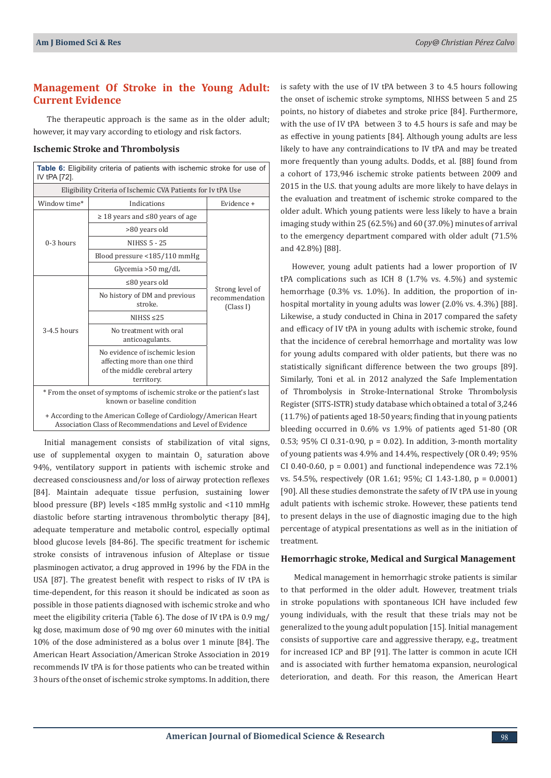## **Management Of Stroke in the Young Adult: Current Evidence**

The therapeutic approach is the same as in the older adult; however, it may vary according to etiology and risk factors.

#### **Ischemic Stroke and Thrombolysis**

| Table 6: Eligibility criteria of patients with ischemic stroke for use of<br>IV tPA [72].                                      |                                                                                                                |                                                |  |  |
|--------------------------------------------------------------------------------------------------------------------------------|----------------------------------------------------------------------------------------------------------------|------------------------------------------------|--|--|
| Eligibility Criteria of Ischemic CVA Patients for Iv tPA Use                                                                   |                                                                                                                |                                                |  |  |
| Window time*                                                                                                                   | Indications                                                                                                    | Evidence +                                     |  |  |
| $0-3$ hours                                                                                                                    | $\geq$ 18 years and $\leq$ 80 years of age                                                                     | Strong level of<br>recommendation<br>(Class I) |  |  |
|                                                                                                                                | >80 years old                                                                                                  |                                                |  |  |
|                                                                                                                                | <b>NIHSS 5 - 25</b>                                                                                            |                                                |  |  |
|                                                                                                                                | Blood pressure <185/110 mmHg                                                                                   |                                                |  |  |
|                                                                                                                                | Glycemia $>50$ mg/dL                                                                                           |                                                |  |  |
| $3-4.5$ hours                                                                                                                  | $\leq 80$ years old                                                                                            |                                                |  |  |
|                                                                                                                                | No history of DM and previous<br>stroke.                                                                       |                                                |  |  |
|                                                                                                                                | NIHSS $\leq$ 25                                                                                                |                                                |  |  |
|                                                                                                                                | No treatment with oral<br>anticoagulants.                                                                      |                                                |  |  |
|                                                                                                                                | No evidence of ischemic lesion<br>affecting more than one third<br>of the middle cerebral artery<br>territory. |                                                |  |  |
| * From the onset of symptoms of ischemic stroke or the patient's last<br>known or baseline condition                           |                                                                                                                |                                                |  |  |
| + According to the American College of Cardiology/American Heart<br>Association Class of Recommendations and Level of Evidence |                                                                                                                |                                                |  |  |

Initial management consists of stabilization of vital signs, use of supplemental oxygen to maintain  $\mathsf{U}_2$  saturation above 94%, ventilatory support in patients with ischemic stroke and decreased consciousness and/or loss of airway protection reflexes [84]. Maintain adequate tissue perfusion, sustaining lower blood pressure (BP) levels <185 mmHg systolic and <110 mmHg diastolic before starting intravenous thrombolytic therapy [84], adequate temperature and metabolic control, especially optimal blood glucose levels [84-86]. The specific treatment for ischemic stroke consists of intravenous infusion of Alteplase or tissue plasminogen activator, a drug approved in 1996 by the FDA in the USA [87]. The greatest benefit with respect to risks of IV tPA is time-dependent, for this reason it should be indicated as soon as possible in those patients diagnosed with ischemic stroke and who meet the eligibility criteria (Table 6). The dose of IV tPA is 0.9 mg/ kg dose, maximum dose of 90 mg over 60 minutes with the initial 10% of the dose administered as a bolus over 1 minute [84]. The American Heart Association/American Stroke Association in 2019 recommends IV tPA is for those patients who can be treated within 3 hours of the onset of ischemic stroke symptoms. In addition, there

is safety with the use of IV tPA between 3 to 4.5 hours following the onset of ischemic stroke symptoms, NIHSS between 5 and 25 points, no history of diabetes and stroke price [84]. Furthermore, with the use of IV tPA between 3 to 4.5 hours is safe and may be as effective in young patients [84]. Although young adults are less likely to have any contraindications to IV tPA and may be treated more frequently than young adults. Dodds, et al. [88] found from a cohort of 173,946 ischemic stroke patients between 2009 and 2015 in the U.S. that young adults are more likely to have delays in the evaluation and treatment of ischemic stroke compared to the older adult. Which young patients were less likely to have a brain imaging study within 25 (62.5%) and 60 (37.0%) minutes of arrival to the emergency department compared with older adult (71.5% and 42.8%) [88].

However, young adult patients had a lower proportion of IV tPA complications such as ICH 8  $(1.7\% \text{ vs. } 4.5\%)$  and systemic hemorrhage (0.3% vs. 1.0%). In addition, the proportion of inhospital mortality in young adults was lower (2.0% vs. 4.3%) [88]. Likewise, a study conducted in China in 2017 compared the safety and efficacy of IV tPA in young adults with ischemic stroke, found that the incidence of cerebral hemorrhage and mortality was low for young adults compared with older patients, but there was no statistically significant difference between the two groups [89]. Similarly, Toni et al. in 2012 analyzed the Safe Implementation of Thrombolysis in Stroke-International Stroke Thrombolysis Register (SITS-ISTR) study database which obtained a total of 3,246 (11.7%) of patients aged 18-50 years; finding that in young patients bleeding occurred in 0.6% vs 1.9% of patients aged 51-80 (OR 0.53; 95% CI 0.31-0.90,  $p = 0.02$ ). In addition, 3-month mortality of young patients was 4.9% and 14.4%, respectively (OR 0.49; 95% CI 0.40-0.60,  $p = 0.001$ ) and functional independence was  $72.1\%$ vs. 54.5%, respectively (OR 1.61; 95%; CI 1.43-1.80, p = 0.0001) [90]. All these studies demonstrate the safety of IV tPA use in young adult patients with ischemic stroke. However, these patients tend to present delays in the use of diagnostic imaging due to the high percentage of atypical presentations as well as in the initiation of treatment.

#### **Hemorrhagic stroke, Medical and Surgical Management**

Medical management in hemorrhagic stroke patients is similar to that performed in the older adult. However, treatment trials in stroke populations with spontaneous ICH have included few young individuals, with the result that these trials may not be generalized to the young adult population [15]. Initial management consists of supportive care and aggressive therapy, e.g., treatment for increased ICP and BP [91]. The latter is common in acute ICH and is associated with further hematoma expansion, neurological deterioration, and death. For this reason, the American Heart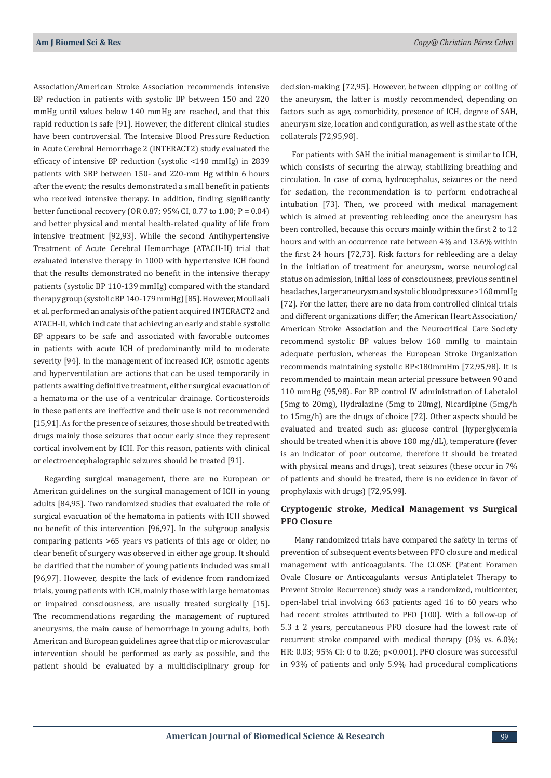Association/American Stroke Association recommends intensive BP reduction in patients with systolic BP between 150 and 220 mmHg until values below 140 mmHg are reached, and that this rapid reduction is safe [91]. However, the different clinical studies have been controversial. The Intensive Blood Pressure Reduction in Acute Cerebral Hemorrhage 2 (INTERACT2) study evaluated the efficacy of intensive BP reduction (systolic <140 mmHg) in 2839 patients with SBP between 150- and 220-mm Hg within 6 hours after the event; the results demonstrated a small benefit in patients who received intensive therapy. In addition, finding significantly better functional recovery (OR 0.87; 95% CI, 0.77 to 1.00; P = 0.04) and better physical and mental health-related quality of life from intensive treatment [92,93]. While the second Antihypertensive Treatment of Acute Cerebral Hemorrhage (ATACH-II) trial that evaluated intensive therapy in 1000 with hypertensive ICH found that the results demonstrated no benefit in the intensive therapy patients (systolic BP 110-139 mmHg) compared with the standard therapy group (systolic BP 140-179 mmHg) [85]. However, Moullaali et al. performed an analysis of the patient acquired INTERACT2 and ATACH-II, which indicate that achieving an early and stable systolic BP appears to be safe and associated with favorable outcomes in patients with acute ICH of predominantly mild to moderate severity [94]. In the management of increased ICP, osmotic agents and hyperventilation are actions that can be used temporarily in patients awaiting definitive treatment, either surgical evacuation of a hematoma or the use of a ventricular drainage. Corticosteroids in these patients are ineffective and their use is not recommended [15,91]. As for the presence of seizures, those should be treated with drugs mainly those seizures that occur early since they represent cortical involvement by ICH. For this reason, patients with clinical or electroencephalographic seizures should be treated [91].

Regarding surgical management, there are no European or American guidelines on the surgical management of ICH in young adults [84,95]. Two randomized studies that evaluated the role of surgical evacuation of the hematoma in patients with ICH showed no benefit of this intervention [96,97]. In the subgroup analysis comparing patients >65 years vs patients of this age or older, no clear benefit of surgery was observed in either age group. It should be clarified that the number of young patients included was small [96,97]. However, despite the lack of evidence from randomized trials, young patients with ICH, mainly those with large hematomas or impaired consciousness, are usually treated surgically [15]. The recommendations regarding the management of ruptured aneurysms, the main cause of hemorrhage in young adults, both American and European guidelines agree that clip or microvascular intervention should be performed as early as possible, and the patient should be evaluated by a multidisciplinary group for

decision-making [72,95]. However, between clipping or coiling of the aneurysm, the latter is mostly recommended, depending on factors such as age, comorbidity, presence of ICH, degree of SAH, aneurysm size, location and configuration, as well as the state of the collaterals [72,95,98].

For patients with SAH the initial management is similar to ICH, which consists of securing the airway, stabilizing breathing and circulation. In case of coma, hydrocephalus, seizures or the need for sedation, the recommendation is to perform endotracheal intubation [73]. Then, we proceed with medical management which is aimed at preventing rebleeding once the aneurysm has been controlled, because this occurs mainly within the first 2 to 12 hours and with an occurrence rate between 4% and 13.6% within the first 24 hours [72,73]. Risk factors for rebleeding are a delay in the initiation of treatment for aneurysm, worse neurological status on admission, initial loss of consciousness, previous sentinel headaches, larger aneurysm and systolic blood pressure >160 mmHg [72]. For the latter, there are no data from controlled clinical trials and different organizations differ; the American Heart Association/ American Stroke Association and the Neurocritical Care Society recommend systolic BP values below 160 mmHg to maintain adequate perfusion, whereas the European Stroke Organization recommends maintaining systolic BP<180mmHm [72,95,98]. It is recommended to maintain mean arterial pressure between 90 and 110 mmHg (95,98). For BP control IV administration of Labetalol (5mg to 20mg), Hydralazine (5mg to 20mg), Nicardipine (5mg/h to 15mg/h) are the drugs of choice [72]. Other aspects should be evaluated and treated such as: glucose control (hyperglycemia should be treated when it is above 180 mg/dL), temperature (fever is an indicator of poor outcome, therefore it should be treated with physical means and drugs), treat seizures (these occur in 7% of patients and should be treated, there is no evidence in favor of prophylaxis with drugs) [72,95,99].

## **Cryptogenic stroke, Medical Management vs Surgical PFO Closure**

Many randomized trials have compared the safety in terms of prevention of subsequent events between PFO closure and medical management with anticoagulants. The CLOSE (Patent Foramen Ovale Closure or Anticoagulants versus Antiplatelet Therapy to Prevent Stroke Recurrence) study was a randomized, multicenter, open-label trial involving 663 patients aged 16 to 60 years who had recent strokes attributed to PFO [100]. With a follow-up of  $5.3 \pm 2$  years, percutaneous PFO closure had the lowest rate of recurrent stroke compared with medical therapy (0% vs. 6.0%; HR: 0.03; 95% CI: 0 to 0.26; p<0.001). PFO closure was successful in 93% of patients and only 5.9% had procedural complications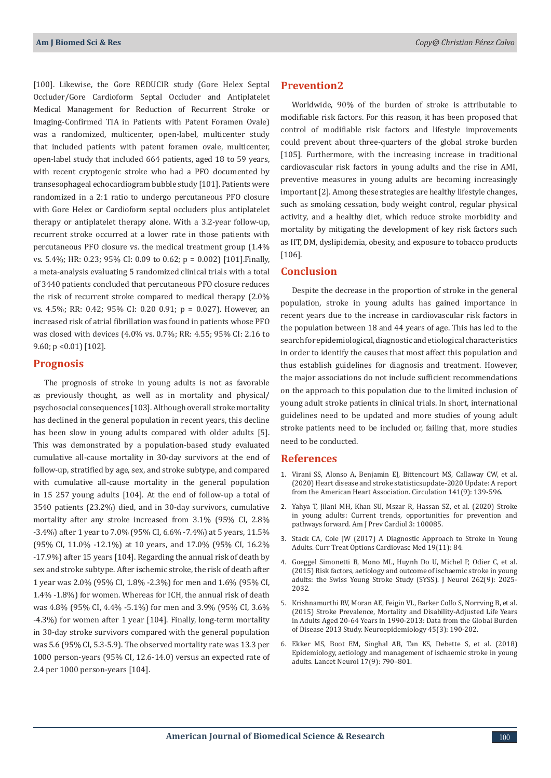[100]. Likewise, the Gore REDUCIR study (Gore Helex Septal Occluder/Gore Cardioform Septal Occluder and Antiplatelet Medical Management for Reduction of Recurrent Stroke or Imaging-Confirmed TIA in Patients with Patent Foramen Ovale) was a randomized, multicenter, open-label, multicenter study that included patients with patent foramen ovale, multicenter, open-label study that included 664 patients, aged 18 to 59 years, with recent cryptogenic stroke who had a PFO documented by transesophageal echocardiogram bubble study [101]. Patients were randomized in a 2:1 ratio to undergo percutaneous PFO closure with Gore Helex or Cardioform septal occluders plus antiplatelet therapy or antiplatelet therapy alone. With a 3.2-year follow-up, recurrent stroke occurred at a lower rate in those patients with percutaneous PFO closure vs. the medical treatment group (1.4% vs. 5.4%; HR: 0.23; 95% CI: 0.09 to 0.62; p = 0.002) [101].Finally, a meta-analysis evaluating 5 randomized clinical trials with a total of 3440 patients concluded that percutaneous PFO closure reduces the risk of recurrent stroke compared to medical therapy (2.0% vs. 4.5%; RR: 0.42; 95% CI: 0.20 0.91; p = 0.027). However, an increased risk of atrial fibrillation was found in patients whose PFO was closed with devices (4.0% vs. 0.7%; RR: 4.55; 95% CI: 2.16 to 9.60; p <0.01) [102].

#### **Prognosis**

The prognosis of stroke in young adults is not as favorable as previously thought, as well as in mortality and physical/ psychosocial consequences [103]. Although overall stroke mortality has declined in the general population in recent years, this decline has been slow in young adults compared with older adults [5]. This was demonstrated by a population-based study evaluated cumulative all-cause mortality in 30-day survivors at the end of follow-up, stratified by age, sex, and stroke subtype, and compared with cumulative all-cause mortality in the general population in 15 257 young adults [104]. At the end of follow-up a total of 3540 patients (23.2%) died, and in 30-day survivors, cumulative mortality after any stroke increased from 3.1% (95% CI, 2.8% -3.4%) after 1 year to 7.0% (95% CI, 6.6% -7.4%) at 5 years, 11.5% (95% CI, 11.0% -12.1%) at 10 years, and 17.0% (95% CI, 16.2% -17.9%) after 15 years [104]. Regarding the annual risk of death by sex and stroke subtype. After ischemic stroke, the risk of death after 1 year was 2.0% (95% CI, 1.8% -2.3%) for men and 1.6% (95% CI, 1.4% -1.8%) for women. Whereas for ICH, the annual risk of death was 4.8% (95% CI, 4.4% -5.1%) for men and 3.9% (95% CI, 3.6% -4.3%) for women after 1 year [104]. Finally, long-term mortality in 30-day stroke survivors compared with the general population was 5.6 (95% CI, 5.3-5.9). The observed mortality rate was 13.3 per 1000 person-years (95% CI, 12.6-14.0) versus an expected rate of 2.4 per 1000 person-years [104].

## **Prevention2**

Worldwide, 90% of the burden of stroke is attributable to modifiable risk factors. For this reason, it has been proposed that control of modifiable risk factors and lifestyle improvements could prevent about three-quarters of the global stroke burden [105]. Furthermore, with the increasing increase in traditional cardiovascular risk factors in young adults and the rise in AMI, preventive measures in young adults are becoming increasingly important [2]. Among these strategies are healthy lifestyle changes, such as smoking cessation, body weight control, regular physical activity, and a healthy diet, which reduce stroke morbidity and mortality by mitigating the development of key risk factors such as HT, DM, dyslipidemia, obesity, and exposure to tobacco products [106].

#### **Conclusion**

Despite the decrease in the proportion of stroke in the general population, stroke in young adults has gained importance in recent years due to the increase in cardiovascular risk factors in the population between 18 and 44 years of age. This has led to the search for epidemiological, diagnostic and etiological characteristics in order to identify the causes that most affect this population and thus establish guidelines for diagnosis and treatment. However, the major associations do not include sufficient recommendations on the approach to this population due to the limited inclusion of young adult stroke patients in clinical trials. In short, international guidelines need to be updated and more studies of young adult stroke patients need to be included or, failing that, more studies need to be conducted.

#### **References**

- 1. [Virani SS, Alonso A, Benjamin EJ, Bittencourt MS, Callaway CW, et al.](https://pubmed.ncbi.nlm.nih.gov/31992061/) [\(2020\) Heart disease and stroke statisticsupdate-2020 Update: A report](https://pubmed.ncbi.nlm.nih.gov/31992061/) [from the American Heart Association. Circulation 141\(9\): 139-596.](https://pubmed.ncbi.nlm.nih.gov/31992061/)
- 2. [Yahya T, Jilani MH, Khan SU, Mszar R, Hassan SZ, et al. \(2020\) Stroke](https://www.sciencedirect.com/science/article/pii/S2666667720300854) [in young adults: Current trends, opportunities for prevention and](https://www.sciencedirect.com/science/article/pii/S2666667720300854) [pathways forward. Am J Prev Cardiol 3: 100085.](https://www.sciencedirect.com/science/article/pii/S2666667720300854)
- 3. [Stack CA, Cole JW \(2017\) A Diagnostic Approach to Stroke in Young](https://pubmed.ncbi.nlm.nih.gov/28948451/) [Adults. Curr Treat Options Cardiovasc Med 19\(11\): 84.](https://pubmed.ncbi.nlm.nih.gov/28948451/)
- 4. [Goeggel Simonetti B, Mono ML, Huynh Do U, Michel P, Odier C, et al.](https://pubmed.ncbi.nlm.nih.gov/26668078/) [\(2015\) Risk factors, aetiology and outcome of ischaemic stroke in young](https://pubmed.ncbi.nlm.nih.gov/26668078/) [adults: the Swiss Young Stroke Study \(SYSS\). J Neurol 262\(9\): 2025-](https://pubmed.ncbi.nlm.nih.gov/26668078/) [2032.](https://pubmed.ncbi.nlm.nih.gov/26668078/)
- 5. [Krishnamurthi RV, Moran AE, Feigin VL, Barker Collo S, Norrving B, et al.](https://www.karger.com/Article/FullText/441098) [\(2015\) Stroke Prevalence, Mortality and Disability-Adjusted Life Years](https://www.karger.com/Article/FullText/441098) [in Adults Aged 20-64 Years in 1990-2013: Data from the Global Burden](https://www.karger.com/Article/FullText/441098) [of Disease 2013 Study. Neuroepidemiology 45\(3\): 190-202.](https://www.karger.com/Article/FullText/441098)
- 6. [Ekker MS, Boot EM, Singhal AB, Tan KS, Debette S, et al. \(2018\)](https://pubmed.ncbi.nlm.nih.gov/30129475/) [Epidemiology, aetiology and management of ischaemic stroke in young](https://pubmed.ncbi.nlm.nih.gov/30129475/) [adults. Lancet Neurol 17\(9\): 790–801.](https://pubmed.ncbi.nlm.nih.gov/30129475/)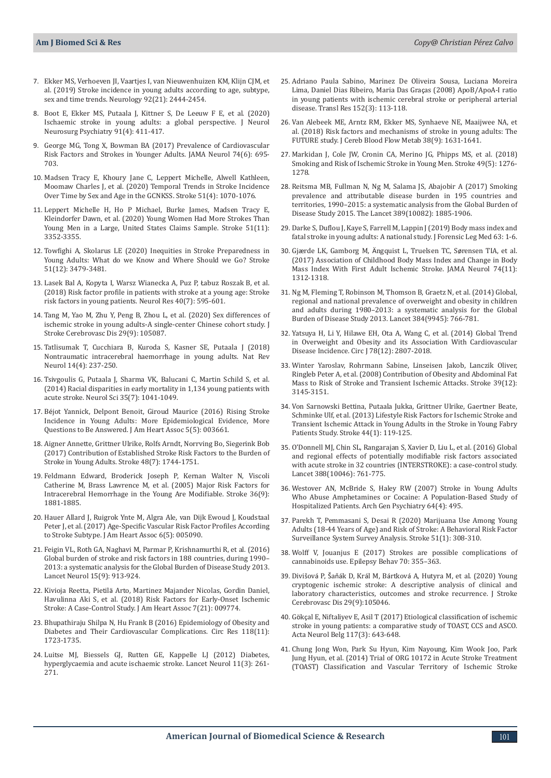- 7. [Ekker MS, Verhoeven JI, Vaartjes I, van Nieuwenhuizen KM, Klijn CJM, et](https://pubmed.ncbi.nlm.nih.gov/31019103/)  [al. \(2019\) Stroke incidence in young adults according to age, subtype,](https://pubmed.ncbi.nlm.nih.gov/31019103/)  [sex and time trends. Neurology 92\(21\): 2444-2454.](https://pubmed.ncbi.nlm.nih.gov/31019103/)
- 8. [Boot E, Ekker MS, Putaala J, Kittner S, De Leeuw F E, et al. \(2020\)](https://pubmed.ncbi.nlm.nih.gov/32015089/)  [Ischaemic stroke in young adults: a global perspective. J Neurol](https://pubmed.ncbi.nlm.nih.gov/32015089/)  [Neurosurg Psychiatry 91\(4\): 411-417.](https://pubmed.ncbi.nlm.nih.gov/32015089/)
- 9. [George MG, Tong X, Bowman BA \(2017\) Prevalence of Cardiovascular](https://pubmed.ncbi.nlm.nih.gov/28395017/)  [Risk Factors and Strokes in Younger Adults. JAMA Neurol 74\(6\): 695-](https://pubmed.ncbi.nlm.nih.gov/28395017/) [703.](https://pubmed.ncbi.nlm.nih.gov/28395017/)
- 10. [Madsen Tracy E, Khoury Jane C, Leppert Michelle, Alwell Kathleen,](https://www.ahajournals.org/doi/10.1161/STROKEAHA.120.028910)  [Moomaw Charles J, et al. \(2020\) Temporal Trends in Stroke Incidence](https://www.ahajournals.org/doi/10.1161/STROKEAHA.120.028910)  [Over Time by Sex and Age in the GCNKSS. Stroke 51\(4\): 1070-1076.](https://www.ahajournals.org/doi/10.1161/STROKEAHA.120.028910)
- 11. [Leppert Michelle H, Ho P Michael, Burke James, Madsen Tracy E,](https://pubmed.ncbi.nlm.nih.gov/32942966/)  [Kleindorfer Dawn, et al. \(2020\) Young Women Had More Strokes Than](https://pubmed.ncbi.nlm.nih.gov/32942966/)  [Young Men in a Large, United States Claims Sample. Stroke 51\(11\):](https://pubmed.ncbi.nlm.nih.gov/32942966/)  [3352-3355.](https://pubmed.ncbi.nlm.nih.gov/32942966/)
- 12. [Towfighi A, Skolarus LE \(2020\) Inequities in Stroke Preparedness in](https://pubmed.ncbi.nlm.nih.gov/33198582/)  [Young Adults: What do we Know and Where Should we Go? Stroke](https://pubmed.ncbi.nlm.nih.gov/33198582/)  [51\(12\): 3479-3481.](https://pubmed.ncbi.nlm.nih.gov/33198582/)
- 13. [Lasek Bal A, Kopyta I, Warsz Wianecka A, Puz P,](https://pubmed.ncbi.nlm.nih.gov/29577820/) Łabuz Roszak B, et al. [\(2018\) Risk factor profile in patients with stroke at a young age: Stroke](https://pubmed.ncbi.nlm.nih.gov/29577820/)  [risk factors in young patients. Neurol Res 40\(7\): 595-601.](https://pubmed.ncbi.nlm.nih.gov/29577820/)
- 14. [Tang M, Yao M, Zhu Y, Peng B, Zhou L, et al. \(2020\) Sex differences of](https://pubmed.ncbi.nlm.nih.gov/32807483/)  [ischemic stroke in young adults-A single-center Chinese cohort study. J](https://pubmed.ncbi.nlm.nih.gov/32807483/)  [Stroke Cerebrovasc Dis 29\(9\): 105087.](https://pubmed.ncbi.nlm.nih.gov/32807483/)
- 15. [Tatlisumak T, Cucchiara B, Kuroda S, Kasner SE, Putaala J \(2018\)](https://www.nature.com/articles/nrneurol.2018.17)  [Nontraumatic intracerebral haemorrhage in young adults. Nat Rev](https://www.nature.com/articles/nrneurol.2018.17)  [Neurol 14\(4\): 237-250.](https://www.nature.com/articles/nrneurol.2018.17)
- 16. [Tsivgoulis G, Putaala J, Sharma VK, Balucani C, Martin Schild S, et al.](https://pubmed.ncbi.nlm.nih.gov/24469348/)  [\(2014\) Racial disparities in early mortality in 1,134 young patients with](https://pubmed.ncbi.nlm.nih.gov/24469348/)  [acute stroke. Neurol Sci 35\(7\): 1041-1049.](https://pubmed.ncbi.nlm.nih.gov/24469348/)
- 17. Bé[jot Yannick, Delpont Benoit, Giroud Maurice \(2016\) Rising Stroke](https://pubmed.ncbi.nlm.nih.gov/27169549/)  [Incidence in Young Adults: More Epidemiological Evidence, More](https://pubmed.ncbi.nlm.nih.gov/27169549/)  [Questions to Be Answered. J Am Heart Assoc 5\(5\): 003661.](https://pubmed.ncbi.nlm.nih.gov/27169549/)
- 18. [Aigner Annette, Grittner Ulrike, Rolfs Arndt, Norrving Bo, Siegerink Bob](https://pubmed.ncbi.nlm.nih.gov/28619986/)  [\(2017\) Contribution of Established Stroke Risk Factors to the Burden of](https://pubmed.ncbi.nlm.nih.gov/28619986/)  [Stroke in Young Adults. Stroke 48\(7\): 1744-1751.](https://pubmed.ncbi.nlm.nih.gov/28619986/)
- 19. [Feldmann Edward, Broderick Joseph P, Kernan Walter N, Viscoli](https://pubmed.ncbi.nlm.nih.gov/16081867/)  [Catherine M, Brass Lawrence M, et al. \(2005\) Major Risk Factors for](https://pubmed.ncbi.nlm.nih.gov/16081867/)  [Intracerebral Hemorrhage in the Young Are Modifiable. Stroke 36\(9\):](https://pubmed.ncbi.nlm.nih.gov/16081867/)  [1881-1885.](https://pubmed.ncbi.nlm.nih.gov/16081867/)
- 20. [Hauer Allard J, Ruigrok Ynte M, Algra Ale, van Dijk Ewoud J, Koudstaal](https://www.ncbi.nlm.nih.gov/pmc/articles/PMC5524074/)  [Peter J, et al. \(2017\) Age‐Specific Vascular Risk Factor Profiles According](https://www.ncbi.nlm.nih.gov/pmc/articles/PMC5524074/)  [to Stroke Subtype. J Am Heart Assoc 6\(5\): 005090.](https://www.ncbi.nlm.nih.gov/pmc/articles/PMC5524074/)
- 21. [Feigin VL, Roth GA, Naghavi M, Parmar P, Krishnamurthi R, et al. \(2016\)](https://pubmed.ncbi.nlm.nih.gov/27291521/)  [Global burden of stroke and risk factors in 188 countries, during 1990–](https://pubmed.ncbi.nlm.nih.gov/27291521/) [2013: a systematic analysis for the Global Burden of Disease Study 2013.](https://pubmed.ncbi.nlm.nih.gov/27291521/)  [Lancet Neurol 15\(9\): 913-924.](https://pubmed.ncbi.nlm.nih.gov/27291521/)
- 22. Kivioja Reetta, Pietilä [Arto, Martinez Majander Nicolas, Gordin Daniel,](https://pubmed.ncbi.nlm.nih.gov/30608196/)  [Havulinna Aki S, et al. \(2018\) Risk Factors for Early‐Onset Ischemic](https://pubmed.ncbi.nlm.nih.gov/30608196/)  [Stroke: A Case‐Control Study. J Am Heart Assoc 7\(21\): 009774.](https://pubmed.ncbi.nlm.nih.gov/30608196/)
- 23. [Bhupathiraju Shilpa N, Hu Frank B \(2016\) Epidemiology of Obesity and](https://pubmed.ncbi.nlm.nih.gov/27230638/)  [Diabetes and Their Cardiovascular Complications. Circ Res 118\(11\):](https://pubmed.ncbi.nlm.nih.gov/27230638/)  [1723-1735.](https://pubmed.ncbi.nlm.nih.gov/27230638/)
- 24. [Luitse MJ, Biessels GJ, Rutten GE, Kappelle LJ \(2012\) Diabetes,](https://pubmed.ncbi.nlm.nih.gov/22341034/)  [hyperglycaemia and acute ischaemic stroke. Lancet Neurol 11\(3\): 261-](https://pubmed.ncbi.nlm.nih.gov/22341034/) [271](https://pubmed.ncbi.nlm.nih.gov/22341034/).
- 25. [Adriano Paula Sabino, Marinez De Oliveira Sousa, Luciana Moreira](https://pubmed.ncbi.nlm.nih.gov/18774540/) [Lima, Daniel Dias Ribeiro, Maria Das Gra](https://pubmed.ncbi.nlm.nih.gov/18774540/)ças (2008) ApoB/ApoA-I ratio [in young patients with ischemic cerebral stroke or peripheral arterial](https://pubmed.ncbi.nlm.nih.gov/18774540/) [disease. Transl Res 152\(3\): 113-118](https://pubmed.ncbi.nlm.nih.gov/18774540/).
- 26. [Van Alebeek ME, Arntz RM, Ekker MS, Synhaeve NE, Maaijwee NA, et](https://pubmed.ncbi.nlm.nih.gov/28534705/) [al. \(2018\) Risk factors and mechanisms of stroke in young adults: The](https://pubmed.ncbi.nlm.nih.gov/28534705/) [FUTURE study. J Cereb Blood Flow Metab 38\(9\): 1631-1641.](https://pubmed.ncbi.nlm.nih.gov/28534705/)
- 27. [Markidan J, Cole JW, Cronin CA, Merino JG, Phipps MS, et al. \(2018\)](https://pubmed.ncbi.nlm.nih.gov/29674522/) [Smoking and Risk of Ischemic Stroke in Young Men. Stroke 49\(5\): 1276-](https://pubmed.ncbi.nlm.nih.gov/29674522/) [1278.](https://pubmed.ncbi.nlm.nih.gov/29674522/)
- 28. [Reitsma MB, Fullman N, Ng M, Salama JS, Abajobir A \(2017\) Smoking](https://pubmed.ncbi.nlm.nih.gov/28390697/) [prevalence and attributable disease burden in 195 countries and](https://pubmed.ncbi.nlm.nih.gov/28390697/) [territories, 1990–2015: a systematic analysis from the Global Burden of](https://pubmed.ncbi.nlm.nih.gov/28390697/) [Disease Study 2015. The Lancet 389\(10082\): 1885-1906.](https://pubmed.ncbi.nlm.nih.gov/28390697/)
- 29. [Darke S, Duflou J, Kaye S, Farrell M, Lappin J \(2019\) Body mass index and](https://pubmed.ncbi.nlm.nih.gov/30822741/) [fatal stroke in young adults: A national study. J Forensic Leg Med 63: 1-6.](https://pubmed.ncbi.nlm.nih.gov/30822741/)
- 30. Gjærde LK, Gamborg M, Ä[ngquist L, Truelsen TC, S](https://pubmed.ncbi.nlm.nih.gov/28828465/)ørensen TIA, et al. [\(2017\) Association of Childhood Body Mass Index and Change in Body](https://pubmed.ncbi.nlm.nih.gov/28828465/) [Mass Index With First Adult Ischemic Stroke. JAMA Neurol 74\(11\):](https://pubmed.ncbi.nlm.nih.gov/28828465/) [1312-1318.](https://pubmed.ncbi.nlm.nih.gov/28828465/)
- 31. [Ng M, Fleming T, Robinson M, Thomson B, Graetz N, et al. \(2014\) Global,](https://pubmed.ncbi.nlm.nih.gov/24880830/) [regional and national prevalence of overweight and obesity in children](https://pubmed.ncbi.nlm.nih.gov/24880830/) [and adults during 1980–2013: a systematic analysis for the Global](https://pubmed.ncbi.nlm.nih.gov/24880830/) [Burden of Disease Study 2013. Lancet 384\(9945\): 766-781.](https://pubmed.ncbi.nlm.nih.gov/24880830/)
- 32. [Yatsuya H, Li Y, Hilawe EH, Ota A, Wang C, et al. \(2014\) Global Trend](https://pubmed.ncbi.nlm.nih.gov/25391910/) [in Overweight and Obesity and its Association With Cardiovascular](https://pubmed.ncbi.nlm.nih.gov/25391910/) [Disease Incidence. Circ J 78\(12\): 2807-2018.](https://pubmed.ncbi.nlm.nih.gov/25391910/)
- 33. [Winter Yaroslav, Rohrmann Sabine, Linseisen Jakob, Lanczik Oliver,](https://pubmed.ncbi.nlm.nih.gov/18703800/) [Ringleb Peter A, et al. \(2008\) Contribution of Obesity and Abdominal Fat](https://pubmed.ncbi.nlm.nih.gov/18703800/) [Mass to Risk of Stroke and Transient Ischemic Attacks. Stroke 39\(12\):](https://pubmed.ncbi.nlm.nih.gov/18703800/) [3145-3151.](https://pubmed.ncbi.nlm.nih.gov/18703800/)
- 34. [Von Sarnowski Bettina, Putaala Jukka, Grittner Ulrike, Gaertner Beate,](https://pubmed.ncbi.nlm.nih.gov/23150649/) [Schminke Ulf, et al. \(2013\) Lifestyle Risk Factors for Ischemic Stroke and](https://pubmed.ncbi.nlm.nih.gov/23150649/) [Transient Ischemic Attack in Young Adults in the Stroke in Young Fabry](https://pubmed.ncbi.nlm.nih.gov/23150649/) [Patients Study. Stroke 44\(1\): 119-125.](https://pubmed.ncbi.nlm.nih.gov/23150649/)
- 35. [O'Donnell MJ, Chin SL, Rangarajan S, Xavier D, Liu L, et al. \(2016\) Global](https://pubmed.ncbi.nlm.nih.gov/27431356/) [and regional effects of potentially modifiable risk factors associated](https://pubmed.ncbi.nlm.nih.gov/27431356/) [with acute stroke in 32 countries \(INTERSTROKE\): a case-control study.](https://pubmed.ncbi.nlm.nih.gov/27431356/) [Lancet 388\(10046\): 761-775.](https://pubmed.ncbi.nlm.nih.gov/27431356/)
- 36. [Westover AN, McBride S, Haley RW \(2007\) Stroke in Young Adults](https://pubmed.ncbi.nlm.nih.gov/17404126/) [Who Abuse Amphetamines or Cocaine: A Population-Based Study of](https://pubmed.ncbi.nlm.nih.gov/17404126/) [Hospitalized Patients. Arch Gen Psychiatry 64\(4\): 495.](https://pubmed.ncbi.nlm.nih.gov/17404126/)
- 37. [Parekh T, Pemmasani S, Desai R \(2020\) Marijuana Use Among Young](https://pubmed.ncbi.nlm.nih.gov/31707926/) [Adults \(18-44 Years of Age\) and Risk of Stroke: A Behavioral Risk Factor](https://pubmed.ncbi.nlm.nih.gov/31707926/) [Surveillance System Survey Analysis. Stroke 51\(1\): 308-310.](https://pubmed.ncbi.nlm.nih.gov/31707926/)
- 38. [Wolff V, Jouanjus E \(2017\) Strokes are possible complications of](https://pubmed.ncbi.nlm.nih.gov/28237318/) [cannabinoids use. Epilepsy Behav 70: 355–363.](https://pubmed.ncbi.nlm.nih.gov/28237318/)
- 39. Divišová P, Šaňák D, Král M, Bártková [A, Hutyra M, et al. \(2020\) Young](https://pubmed.ncbi.nlm.nih.gov/32807456/) [cryptogenic ischemic stroke: A descriptive analysis of clinical and](https://pubmed.ncbi.nlm.nih.gov/32807456/) [laboratory characteristics, outcomes and stroke recurrence. J Stroke](https://pubmed.ncbi.nlm.nih.gov/32807456/) [Cerebrovasc Dis 29\(9\):105046](https://pubmed.ncbi.nlm.nih.gov/32807456/).
- 40. Gökç[al E, Niftaliyev E, Asil T \(2017\) Etiological classification of ischemic](https://pubmed.ncbi.nlm.nih.gov/28689236/) [stroke in young patients: a comparative study of TOAST, CCS and ASCO.](https://pubmed.ncbi.nlm.nih.gov/28689236/) [Acta Neurol Belg 117\(3\): 643-648.](https://pubmed.ncbi.nlm.nih.gov/28689236/)
- 41. [Chung Jong Won, Park Su Hyun, Kim Nayoung, Kim Wook Joo, Park](https://pubmed.ncbi.nlm.nih.gov/25112556/) [Jung Hyun, et al. \(2014\) Trial of ORG 10172 in Acute Stroke Treatment](https://pubmed.ncbi.nlm.nih.gov/25112556/) [\(TOAST\) Classification and Vascular Territory of Ischemic Stroke](https://pubmed.ncbi.nlm.nih.gov/25112556/)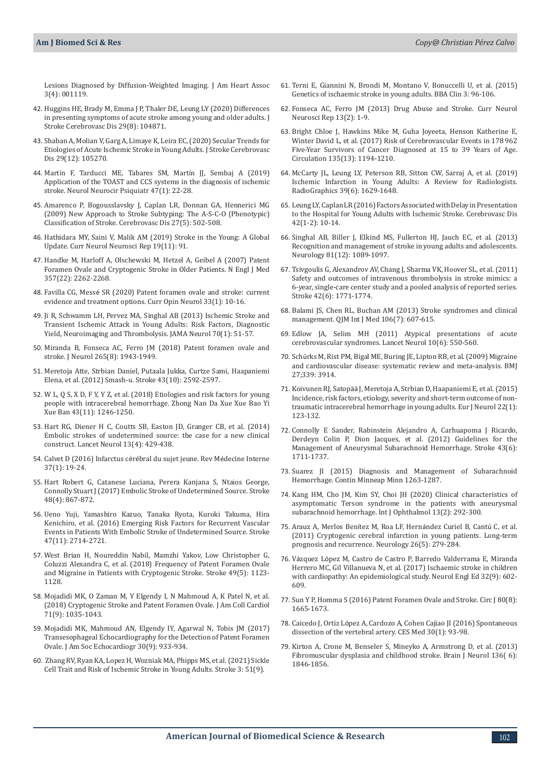[Lesions Diagnosed by Diffusion‐Weighted Imaging. J Am Heart Assoc](https://pubmed.ncbi.nlm.nih.gov/25112556/)  [3\(4\): 001119.](https://pubmed.ncbi.nlm.nih.gov/25112556/)

- 42. [Huggins HE, Brady M, Emma J P, Thaler DE, Leung LY \(2020\) Differences](https://pubmed.ncbi.nlm.nih.gov/32689591/)  [in presenting symptoms of acute stroke among young and older adults. J](https://pubmed.ncbi.nlm.nih.gov/32689591/)  [Stroke Cerebrovasc Dis 29\(8\): 104871.](https://pubmed.ncbi.nlm.nih.gov/32689591/)
- 43. [Shaban A, Molian V, Garg A, Limaye K, Leira EC, \(2020\) Secular Trends for](https://pubmed.ncbi.nlm.nih.gov/32992166/)  [Etiologies of Acute Ischemic Stroke in Young Adults. J Stroke Cerebrovasc](https://pubmed.ncbi.nlm.nih.gov/32992166/)  [Dis 29\(12\): 105270.](https://pubmed.ncbi.nlm.nih.gov/32992166/)
- 44. Martí[n F, Tarducci ME, Tabares SM, Mart](https://www.medigraphic.com/cgi-bin/new/resumenI.cgi?IDARTICULO=91237)ín JJ, Sembaj A (2019) [Application of the TOAST and CCS systems in the diagnosis of ischemic](https://www.medigraphic.com/cgi-bin/new/resumenI.cgi?IDARTICULO=91237)  [stroke. Neurol Neurocir Psiquiatr 47\(1\): 22-28.](https://www.medigraphic.com/cgi-bin/new/resumenI.cgi?IDARTICULO=91237)
- 45. [Amarenco P, Bogousslavsky J, Caplan LR, Donnan GA, Hennerici MG](https://pubmed.ncbi.nlm.nih.gov/19342826/)  [\(2009\) New Approach to Stroke Subtyping: The A-S-C-O \(Phenotypic\)](https://pubmed.ncbi.nlm.nih.gov/19342826/)  [Classification of Stroke. Cerebrovasc Dis 27\(5\): 502-508.](https://pubmed.ncbi.nlm.nih.gov/19342826/)
- 46. [Hathidara MY, Saini V, Malik AM \(2019\) Stroke in the Young: A Global](https://pubmed.ncbi.nlm.nih.gov/31768660/)  [Update. Curr Neurol Neurosci Rep 19\(11\): 91.](https://pubmed.ncbi.nlm.nih.gov/31768660/)
- 47. [Handke M, Harloff A, Olschewski M, Hetzel A, Geibel A \(2007\) Patent](https://pubmed.ncbi.nlm.nih.gov/18046029/)  [Foramen Ovale and Cryptogenic Stroke in Older Patients. N Engl J Med](https://pubmed.ncbi.nlm.nih.gov/18046029/)  [357\(22\): 2262-2268.](https://pubmed.ncbi.nlm.nih.gov/18046029/)
- 48. Favilla CG, Messé [SR \(2020\) Patent foramen ovale and stroke: current](https://pubmed.ncbi.nlm.nih.gov/31789709/)  [evidence and treatment options. Curr Opin Neurol 33\(1\): 10-16.](https://pubmed.ncbi.nlm.nih.gov/31789709/)
- 49. [Ji R, Schwamm LH, Pervez MA, Singhal AB \(2013\) Ischemic Stroke and](https://pubmed.ncbi.nlm.nih.gov/23108720/)  [Transient Ischemic Attack in Young Adults: Risk Factors, Diagnostic](https://pubmed.ncbi.nlm.nih.gov/23108720/)  [Yield, Neuroimaging and Thrombolysis. JAMA Neurol 70\(1\): 51-57.](https://pubmed.ncbi.nlm.nih.gov/23108720/)
- 50. [Miranda B, Fonseca AC, Ferro JM \(2018\) Patent foramen ovale and](https://pubmed.ncbi.nlm.nih.gov/29680895/)  [stroke. J Neurol 265\(8\): 1943-1949.](https://pubmed.ncbi.nlm.nih.gov/29680895/)
- 51. [Meretoja Atte, Strbian Daniel, Putaala Jukka, Curtze Sami, Haapaniemi](https://www.ahajournals.org/doi/full/10.1161/strokeaha.112.661603)  [Elena, et al. \(2012\) Smash-u. Stroke 43\(10\): 2592-2597.](https://www.ahajournals.org/doi/full/10.1161/strokeaha.112.661603)
- 52. [W L, Q S, X D, F Y, Y Z, et al. \(2018\) Etiologies and risk factors for young](https://pubmed.ncbi.nlm.nih.gov/30643071/)  [people with intracerebral hemorrhage. Zhong Nan Da Xue Xue Bao Yi](https://pubmed.ncbi.nlm.nih.gov/30643071/)  [Xue Ban 43\(11\): 1246-1250.](https://pubmed.ncbi.nlm.nih.gov/30643071/)
- 53. [Hart RG, Diener H C, Coutts SB, Easton JD, Granger CB, et al. \(2014\)](https://pubmed.ncbi.nlm.nih.gov/24646875/)  [Embolic strokes of undetermined source: the case for a new clinical](https://pubmed.ncbi.nlm.nih.gov/24646875/)  [construct. Lancet Neurol 13\(4\): 429-438.](https://pubmed.ncbi.nlm.nih.gov/24646875/)
- 54. [Calvet D \(2016\) Infarctus c](https://www.sciencedirect.com/science/article/abs/pii/S0248866315006256)érébral du sujet jeune. Rev Médecine Interne [37\(1\): 19-24.](https://www.sciencedirect.com/science/article/abs/pii/S0248866315006256)
- 55. [Hart Robert G, Catanese Luciana, Perera Kanjana S, Ntaios George,](https://www.ahajournals.org/doi/10.1161/strokeaha.116.016414)  [Connolly Stuart J \(2017\) Embolic Stroke of Undetermined Source. Stroke](https://www.ahajournals.org/doi/10.1161/strokeaha.116.016414)  [48\(4\): 867-872.](https://www.ahajournals.org/doi/10.1161/strokeaha.116.016414)
- 56. [Ueno Yuji, Yamashiro Kazuo, Tanaka Ryota, Kuroki Takuma, Hira](https://pubmed.ncbi.nlm.nih.gov/27703086/)  [Kenichiro, et al. \(2016\) Emerging Risk Factors for Recurrent Vascular](https://pubmed.ncbi.nlm.nih.gov/27703086/)  [Events in Patients With Embolic Stroke of Undetermined Source. Stroke](https://pubmed.ncbi.nlm.nih.gov/27703086/)  [47\(11\): 2714-2721.](https://pubmed.ncbi.nlm.nih.gov/27703086/)
- 57. West Brian H, Noureddin Nabil, Mamzhi Yakov, Low Christopher G, Coluzzi Alexandra C, et al. (2018) Frequency of Patent Foramen Ovale and Migraine in Patients with Cryptogenic Stroke. Stroke 49(5): 1123- 1128.
- 58. [Mojadidi MK, O Zaman M, Y Elgendy I, N Mahmoud A, K Patel N, et al.](https://pubmed.ncbi.nlm.nih.gov/29495983/)  [\(2018\) Cryptogenic Stroke and Patent Foramen Ovale. J Am Coll Cardiol](https://pubmed.ncbi.nlm.nih.gov/29495983/)  [71\(9\): 1035-1043.](https://pubmed.ncbi.nlm.nih.gov/29495983/)
- 59. [Mojadidi MK, Mahmoud AN, Elgendy IY, Agarwal N, Tobis JM \(2017\)](https://pubmed.ncbi.nlm.nih.gov/28602207/)  [Transesophageal Echocardiography for the Detection of Patent Foramen](https://pubmed.ncbi.nlm.nih.gov/28602207/)  [Ovale. J Am Soc Echocardiogr 30\(9\): 933-934.](https://pubmed.ncbi.nlm.nih.gov/28602207/)
- 60. [Zhang RV, Ryan KA, Lopez H, Wozniak MA, Phipps MS, et al. \(2021\) Sickle](https://pubmed.ncbi.nlm.nih.gov/32781942/)  [Cell Trait and Risk of Ischemic Stroke in Young Adults. Stroke 3: 51\(9\).](https://pubmed.ncbi.nlm.nih.gov/32781942/)
- 61. [Terni E, Giannini N, Brondi M, Montano V, Bonuccelli U, et al. \(2015\)](https://pubmed.ncbi.nlm.nih.gov/26672892/) [Genetics of ischaemic stroke in young adults. BBA Clin 3: 96-106.](https://pubmed.ncbi.nlm.nih.gov/26672892/)
- 62. Fonseca AC, Ferro JM (2013) Drug Abuse and Stroke. Curr Neurol Neurosci Rep 13(2): 1-9.
- 63. [Bright Chloe J, Hawkins Mike M, Guha Joyeeta, Henson Katherine E,](https://pubmed.ncbi.nlm.nih.gov/28122884/) [Winter David L, et al. \(2017\) Risk of Cerebrovascular Events in 178 962](https://pubmed.ncbi.nlm.nih.gov/28122884/) [Five-Year Survivors of Cancer Diagnosed at 15 to 39 Years of Age.](https://pubmed.ncbi.nlm.nih.gov/28122884/) [Circulation 135\(13\): 1194-1210.](https://pubmed.ncbi.nlm.nih.gov/28122884/)
- 64. [McCarty JL, Leung LY, Peterson RB, Sitton CW, Sarraj A, et al. \(2019\)](https://pubs.rsna.org/doi/full/10.1148/rg.2019190033) [Ischemic Infarction in Young Adults: A Review for Radiologists.](https://pubs.rsna.org/doi/full/10.1148/rg.2019190033) [RadioGraphics 39\(6\): 1629-1648.](https://pubs.rsna.org/doi/full/10.1148/rg.2019190033)
- 65. [Leung LY, Caplan LR \(2016\) Factors Associated with Delay in Presentation](https://pubmed.ncbi.nlm.nih.gov/26953591/) [to the Hospital for Young Adults with Ischemic Stroke. Cerebrovasc Dis](https://pubmed.ncbi.nlm.nih.gov/26953591/) [42\(1-2\): 10-14.](https://pubmed.ncbi.nlm.nih.gov/26953591/)
- 66. [Singhal AB, Biller J, Elkind MS, Fullerton HJ, Jauch EC, et al. \(2013\)](https://pubmed.ncbi.nlm.nih.gov/23946297/) [Recognition and management of stroke in young adults and adolescents.](https://pubmed.ncbi.nlm.nih.gov/23946297/) [Neurology 81\(12\): 1089-1097.](https://pubmed.ncbi.nlm.nih.gov/23946297/)
- 67. [Tsivgoulis G, Alexandrov AV, Chang J, Sharma VK, Hoover SL, et al. \(2011\)](https://pubmed.ncbi.nlm.nih.gov/21493900/) [Safety and outcomes of intravenous thrombolysis in stroke mimics: a](https://pubmed.ncbi.nlm.nih.gov/21493900/) [6-year, single-care center study and a pooled analysis of reported series.](https://pubmed.ncbi.nlm.nih.gov/21493900/) [Stroke 42\(6\): 1771-1774.](https://pubmed.ncbi.nlm.nih.gov/21493900/)
- 68. [Balami JS, Chen RL, Buchan AM \(2013\) Stroke syndromes and clinical](https://pubmed.ncbi.nlm.nih.gov/23483140/) [management. QJM Int J Med 106\(7\): 607-615.](https://pubmed.ncbi.nlm.nih.gov/23483140/)
- 69. [Edlow JA, Selim MH \(2011\) Atypical presentations of acute](https://www.thelancet.com/journals/lancet/article/PIIS1474-4422(11)70069-2/fulltext) [cerebrovascular syndromes. Lancet Neurol 10\(6\): 550-560.](https://www.thelancet.com/journals/lancet/article/PIIS1474-4422(11)70069-2/fulltext)
- 70. Schü[rks M, Rist PM, Bigal ME, Buring JE, Lipton RB, et al. \(2009\) Migraine](https://pubmed.ncbi.nlm.nih.gov/19861375/) [and cardiovascular disease: systematic review and meta-analysis. BMJ](https://pubmed.ncbi.nlm.nih.gov/19861375/) [27;339: 3914](https://pubmed.ncbi.nlm.nih.gov/19861375/).
- 71. Koivunen RJ, Satopää [J, Meretoja A, Strbian D, Haapaniemi E, et al. \(2015\)](https://pubmed.ncbi.nlm.nih.gov/25142530/) [Incidence, risk factors, etiology, severity and short-term outcome of non](https://pubmed.ncbi.nlm.nih.gov/25142530/)[traumatic intracerebral hemorrhage in young adults. Eur J Neurol 22\(1\):](https://pubmed.ncbi.nlm.nih.gov/25142530/) [123-132.](https://pubmed.ncbi.nlm.nih.gov/25142530/)
- 72. [Connolly E Sander, Rabinstein Alejandro A, Carhuapoma J Ricardo,](https://www.ahajournals.org/doi/10.1161/str.0b013e3182587839) [Derdeyn Colin P, Dion Jacques, et al. \(2012\) Guidelines for the](https://www.ahajournals.org/doi/10.1161/str.0b013e3182587839) [Management of Aneurysmal Subarachnoid Hemorrhage. Stroke 43\(6\):](https://www.ahajournals.org/doi/10.1161/str.0b013e3182587839) [1711-1737.](https://www.ahajournals.org/doi/10.1161/str.0b013e3182587839)
- 73. [Suarez JI \(2015\) Diagnosis and Management of Subarachnoid](https://pubmed.ncbi.nlm.nih.gov/26426230/) [Hemorrhage. Contin Minneap Minn 1263-1287.](https://pubmed.ncbi.nlm.nih.gov/26426230/)
- 74. [Kang HM, Cho JM, Kim SY, Choi JH \(2020\) Clinical characteristics of](https://pubmed.ncbi.nlm.nih.gov/32090040/) [asymptomatic Terson syndrome in the patients with aneurysmal](https://pubmed.ncbi.nlm.nih.gov/32090040/) [subarachnoid hemorrhage. Int J Ophthalmol 13\(2\): 292-300.](https://pubmed.ncbi.nlm.nih.gov/32090040/)
- 75. Arauz A, Merlos Benítez M, Roa LF, Hernández Curiel B, Cantú C, et al. (2011) Cryptogenic cerebral infarction in young patients. Long-term prognosis and recurrence. Neurology 26(5): 279-284.
- 76. Vázquez Ló[pez M, Castro de Castro P, Barredo Valderrama E, Miranda](https://pubmed.ncbi.nlm.nih.gov/27296499/) [Herrero MC, Gil Villanueva N, et al. \(2017\) Ischaemic stroke in children](https://pubmed.ncbi.nlm.nih.gov/27296499/) [with cardiopathy: An epidemiological study. Neurol Engl Ed 32\(9\): 602-](https://pubmed.ncbi.nlm.nih.gov/27296499/) [609.](https://pubmed.ncbi.nlm.nih.gov/27296499/)
- 77. [Sun Y P, Homma S \(2016\) Patent Foramen Ovale and Stroke. Circ J 80\(8\):](https://www.ahajournals.org/doi/full/10.1161/CIRCULATIONAHA.104.524371) [1665-1673](https://www.ahajournals.org/doi/full/10.1161/CIRCULATIONAHA.104.524371).
- 78. Caicedo J, Ortiz Ló[pez A, Cardozo A, Cohen Cajiao JI \(2016\) Spontaneous](http://www.scielo.org.co/pdf/cesm/v30n1/v30n1a10.pdf) [dissection of the vertebral artery. CES Med 30\(1\): 93-98.](http://www.scielo.org.co/pdf/cesm/v30n1/v30n1a10.pdf)
- 79. [Kirton A, Crone M, Benseler S, Mineyko A, Armstrong D, et al. \(2013\)](https://pubmed.ncbi.nlm.nih.gov/23715093/) [Fibromuscular dysplasia and childhood stroke. Brain J Neurol 136\( 6\):](https://pubmed.ncbi.nlm.nih.gov/23715093/) [1846-1856](https://pubmed.ncbi.nlm.nih.gov/23715093/).